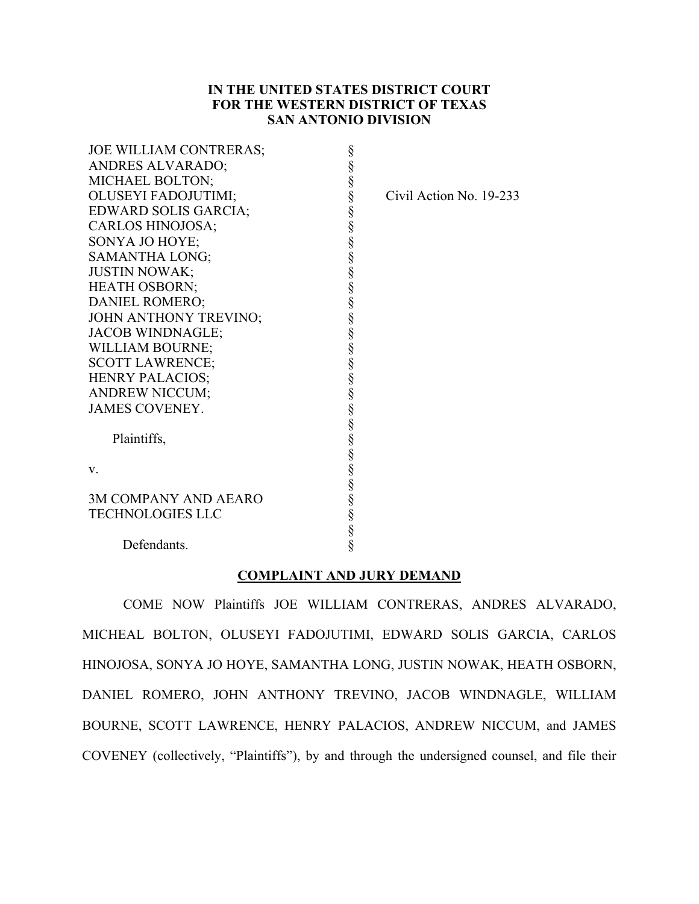# **IN THE UNITED STATES DISTRICT COURT FOR THE WESTERN DISTRICT OF TEXAS SAN ANTONIO DIVISION**

| JOE WILLIAM CONTRERAS;      |                         |
|-----------------------------|-------------------------|
| ANDRES ALVARADO;            |                         |
| MICHAEL BOLTON;             |                         |
| OLUSEYI FADOJUTIMI;         | Civil Action No. 19-233 |
| EDWARD SOLIS GARCIA;        |                         |
| <b>CARLOS HINOJOSA;</b>     |                         |
| SONYA JO HOYE;              |                         |
| SAMANTHA LONG;              |                         |
| <b>JUSTIN NOWAK;</b>        |                         |
| <b>HEATH OSBORN;</b>        |                         |
| DANIEL ROMERO;              |                         |
| JOHN ANTHONY TREVINO;       |                         |
| <b>JACOB WINDNAGLE;</b>     |                         |
| WILLIAM BOURNE;             |                         |
| <b>SCOTT LAWRENCE;</b>      |                         |
| <b>HENRY PALACIOS;</b>      |                         |
| <b>ANDREW NICCUM;</b>       |                         |
| <b>JAMES COVENEY.</b>       |                         |
|                             |                         |
| Plaintiffs,                 |                         |
|                             |                         |
| V.                          |                         |
|                             |                         |
| <b>3M COMPANY AND AEARO</b> |                         |
| <b>TECHNOLOGIES LLC</b>     |                         |
|                             |                         |
| Defendants.                 |                         |
|                             |                         |

# **COMPLAINT AND JURY DEMAND**

COME NOW Plaintiffs JOE WILLIAM CONTRERAS, ANDRES ALVARADO, MICHEAL BOLTON, OLUSEYI FADOJUTIMI, EDWARD SOLIS GARCIA, CARLOS HINOJOSA, SONYA JO HOYE, SAMANTHA LONG, JUSTIN NOWAK, HEATH OSBORN, DANIEL ROMERO, JOHN ANTHONY TREVINO, JACOB WINDNAGLE, WILLIAM BOURNE, SCOTT LAWRENCE, HENRY PALACIOS, ANDREW NICCUM, and JAMES COVENEY (collectively, "Plaintiffs"), by and through the undersigned counsel, and file their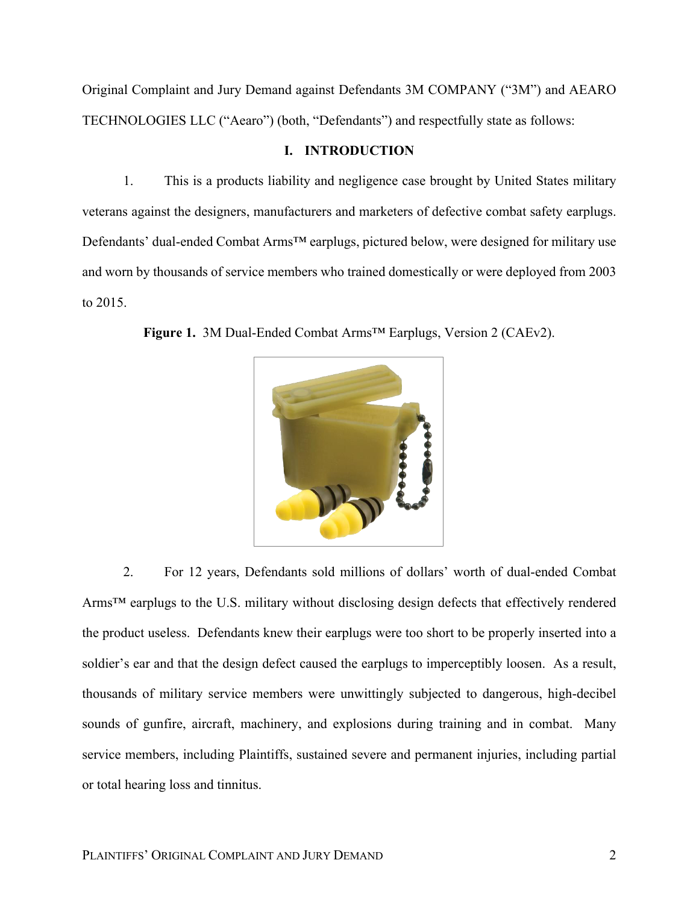Original Complaint and Jury Demand against Defendants 3M COMPANY ("3M") and AEARO TECHNOLOGIES LLC ("Aearo") (both, "Defendants") and respectfully state as follows:

# **I. INTRODUCTION**

1. This is a products liability and negligence case brought by United States military veterans against the designers, manufacturers and marketers of defective combat safety earplugs. Defendants' dual-ended Combat Arms™ earplugs, pictured below, were designed for military use and worn by thousands of service members who trained domestically or were deployed from 2003 to 2015.



**Figure 1.** 3M Dual-Ended Combat Arms™ Earplugs, Version 2 (CAEv2).

2. For 12 years, Defendants sold millions of dollars' worth of dual-ended Combat Arms<sup>™</sup> earplugs to the U.S. military without disclosing design defects that effectively rendered the product useless. Defendants knew their earplugs were too short to be properly inserted into a soldier's ear and that the design defect caused the earplugs to imperceptibly loosen. As a result, thousands of military service members were unwittingly subjected to dangerous, high-decibel sounds of gunfire, aircraft, machinery, and explosions during training and in combat. Many service members, including Plaintiffs, sustained severe and permanent injuries, including partial or total hearing loss and tinnitus.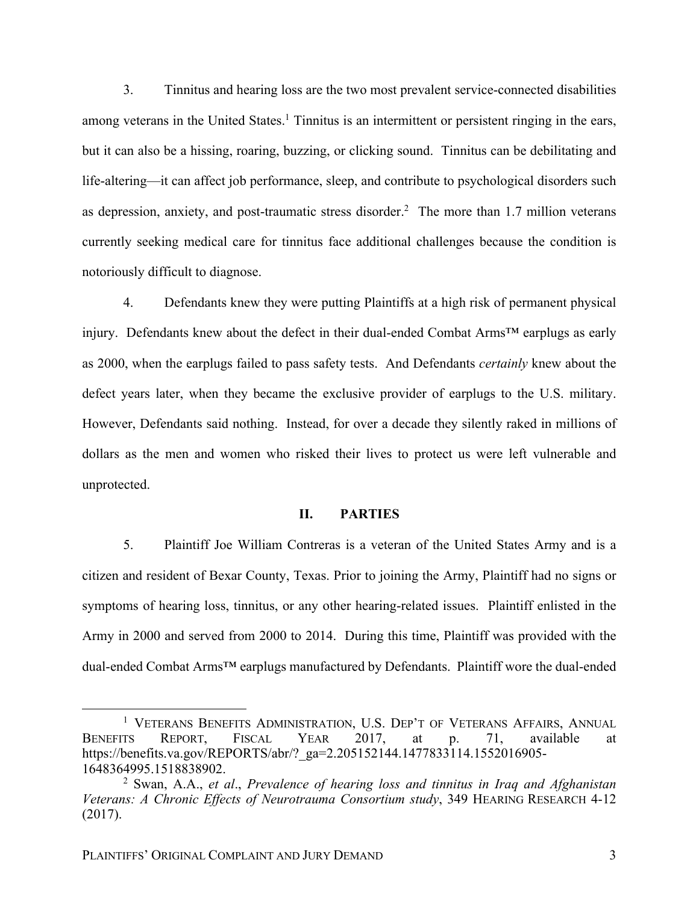3. Tinnitus and hearing loss are the two most prevalent service-connected disabilities among veterans in the United States.<sup>1</sup> Tinnitus is an intermittent or persistent ringing in the ears, but it can also be a hissing, roaring, buzzing, or clicking sound. Tinnitus can be debilitating and life-altering—it can affect job performance, sleep, and contribute to psychological disorders such as depression, anxiety, and post-traumatic stress disorder.<sup>2</sup> The more than 1.7 million veterans currently seeking medical care for tinnitus face additional challenges because the condition is notoriously difficult to diagnose.

4. Defendants knew they were putting Plaintiffs at a high risk of permanent physical injury. Defendants knew about the defect in their dual-ended Combat Arms™ earplugs as early as 2000, when the earplugs failed to pass safety tests. And Defendants *certainly* knew about the defect years later, when they became the exclusive provider of earplugs to the U.S. military. However, Defendants said nothing. Instead, for over a decade they silently raked in millions of dollars as the men and women who risked their lives to protect us were left vulnerable and unprotected.

## **II. PARTIES**

5. Plaintiff Joe William Contreras is a veteran of the United States Army and is a citizen and resident of Bexar County, Texas. Prior to joining the Army, Plaintiff had no signs or symptoms of hearing loss, tinnitus, or any other hearing-related issues. Plaintiff enlisted in the Army in 2000 and served from 2000 to 2014. During this time, Plaintiff was provided with the dual-ended Combat Arms™ earplugs manufactured by Defendants. Plaintiff wore the dual-ended

<sup>&</sup>lt;sup>1</sup> VETERANS BENEFITS ADMINISTRATION, U.S. DEP'T OF VETERANS AFFAIRS, ANNUAL BENEFITS REPORT, FISCAL YEAR 2017, at p. 71, available at https://benefits.va.gov/REPORTS/abr/?\_ga=2.205152144.1477833114.1552016905- 1648364995.1518838902.

<sup>2</sup> Swan, A.A., *et al*., *Prevalence of hearing loss and tinnitus in Iraq and Afghanistan Veterans: A Chronic Effects of Neurotrauma Consortium study*, 349 HEARING RESEARCH 4-12 (2017).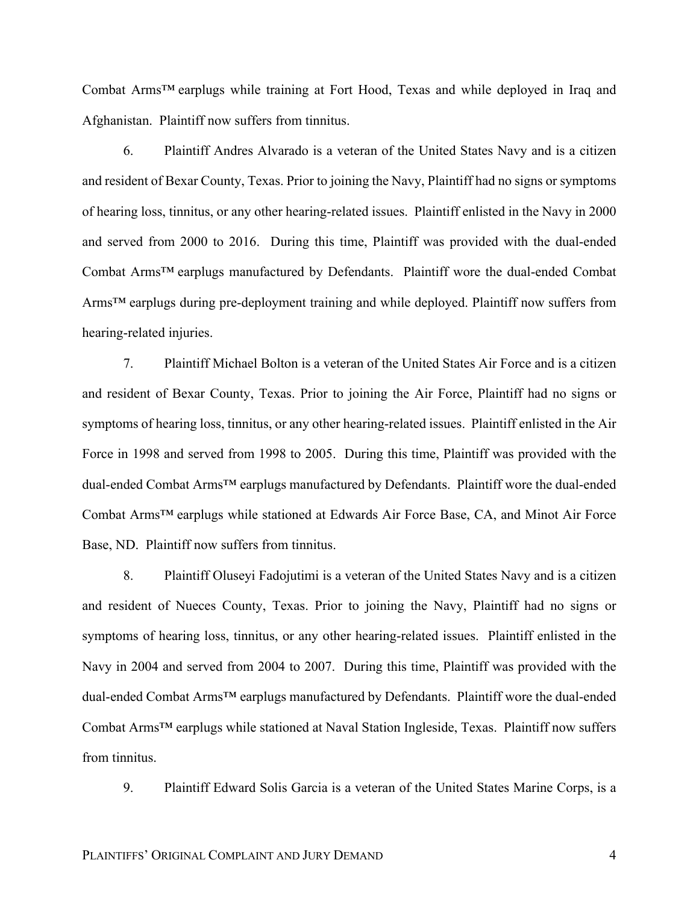Combat Arms™ earplugs while training at Fort Hood, Texas and while deployed in Iraq and Afghanistan. Plaintiff now suffers from tinnitus.

6. Plaintiff Andres Alvarado is a veteran of the United States Navy and is a citizen and resident of Bexar County, Texas. Prior to joining the Navy, Plaintiff had no signs or symptoms of hearing loss, tinnitus, or any other hearing-related issues. Plaintiff enlisted in the Navy in 2000 and served from 2000 to 2016. During this time, Plaintiff was provided with the dual-ended Combat Arms™ earplugs manufactured by Defendants. Plaintiff wore the dual-ended Combat Arms<sup>™</sup> earplugs during pre-deployment training and while deployed. Plaintiff now suffers from hearing-related injuries.

7. Plaintiff Michael Bolton is a veteran of the United States Air Force and is a citizen and resident of Bexar County, Texas. Prior to joining the Air Force, Plaintiff had no signs or symptoms of hearing loss, tinnitus, or any other hearing-related issues. Plaintiff enlisted in the Air Force in 1998 and served from 1998 to 2005. During this time, Plaintiff was provided with the dual-ended Combat Arms™ earplugs manufactured by Defendants. Plaintiff wore the dual-ended Combat Arms™ earplugs while stationed at Edwards Air Force Base, CA, and Minot Air Force Base, ND. Plaintiff now suffers from tinnitus.

8. Plaintiff Oluseyi Fadojutimi is a veteran of the United States Navy and is a citizen and resident of Nueces County, Texas. Prior to joining the Navy, Plaintiff had no signs or symptoms of hearing loss, tinnitus, or any other hearing-related issues. Plaintiff enlisted in the Navy in 2004 and served from 2004 to 2007. During this time, Plaintiff was provided with the dual-ended Combat Arms™ earplugs manufactured by Defendants. Plaintiff wore the dual-ended Combat Arms™ earplugs while stationed at Naval Station Ingleside, Texas. Plaintiff now suffers from tinnitus.

9. Plaintiff Edward Solis Garcia is a veteran of the United States Marine Corps, is a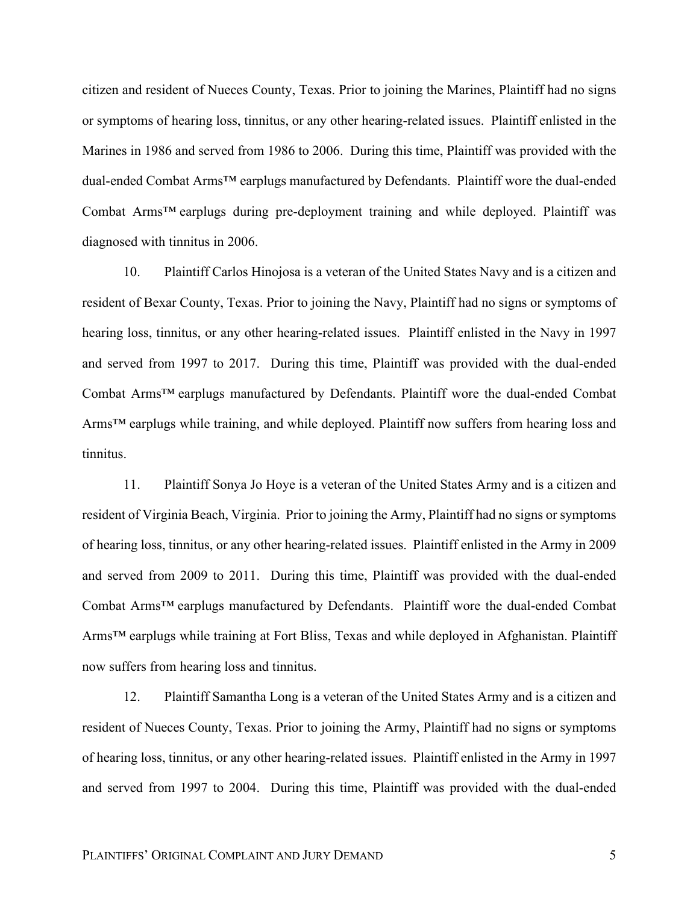citizen and resident of Nueces County, Texas. Prior to joining the Marines, Plaintiff had no signs or symptoms of hearing loss, tinnitus, or any other hearing-related issues. Plaintiff enlisted in the Marines in 1986 and served from 1986 to 2006. During this time, Plaintiff was provided with the dual-ended Combat Arms™ earplugs manufactured by Defendants. Plaintiff wore the dual-ended Combat Arms™ earplugs during pre-deployment training and while deployed. Plaintiff was diagnosed with tinnitus in 2006.

10. Plaintiff Carlos Hinojosa is a veteran of the United States Navy and is a citizen and resident of Bexar County, Texas. Prior to joining the Navy, Plaintiff had no signs or symptoms of hearing loss, tinnitus, or any other hearing-related issues. Plaintiff enlisted in the Navy in 1997 and served from 1997 to 2017. During this time, Plaintiff was provided with the dual-ended Combat Arms™ earplugs manufactured by Defendants. Plaintiff wore the dual-ended Combat Arms<sup>™</sup> earplugs while training, and while deployed. Plaintiff now suffers from hearing loss and tinnitus.

11. Plaintiff Sonya Jo Hoye is a veteran of the United States Army and is a citizen and resident of Virginia Beach, Virginia. Prior to joining the Army, Plaintiff had no signs or symptoms of hearing loss, tinnitus, or any other hearing-related issues. Plaintiff enlisted in the Army in 2009 and served from 2009 to 2011. During this time, Plaintiff was provided with the dual-ended Combat Arms™ earplugs manufactured by Defendants. Plaintiff wore the dual-ended Combat Arms™ earplugs while training at Fort Bliss, Texas and while deployed in Afghanistan. Plaintiff now suffers from hearing loss and tinnitus.

12. Plaintiff Samantha Long is a veteran of the United States Army and is a citizen and resident of Nueces County, Texas. Prior to joining the Army, Plaintiff had no signs or symptoms of hearing loss, tinnitus, or any other hearing-related issues. Plaintiff enlisted in the Army in 1997 and served from 1997 to 2004. During this time, Plaintiff was provided with the dual-ended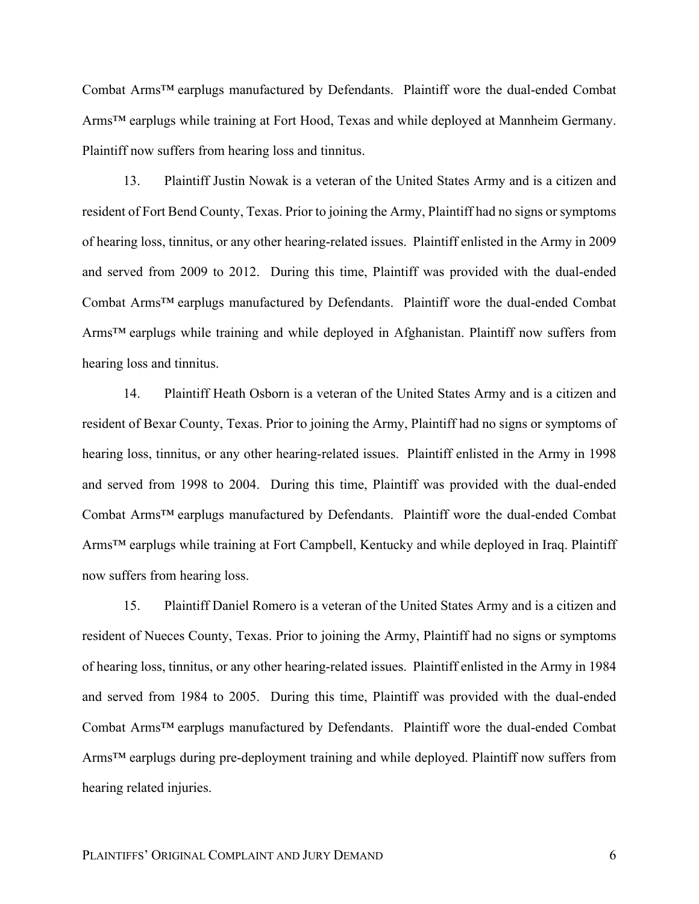Combat Arms™ earplugs manufactured by Defendants. Plaintiff wore the dual-ended Combat Arms™ earplugs while training at Fort Hood, Texas and while deployed at Mannheim Germany. Plaintiff now suffers from hearing loss and tinnitus.

13. Plaintiff Justin Nowak is a veteran of the United States Army and is a citizen and resident of Fort Bend County, Texas. Prior to joining the Army, Plaintiff had no signs or symptoms of hearing loss, tinnitus, or any other hearing-related issues. Plaintiff enlisted in the Army in 2009 and served from 2009 to 2012. During this time, Plaintiff was provided with the dual-ended Combat Arms™ earplugs manufactured by Defendants. Plaintiff wore the dual-ended Combat Arms™ earplugs while training and while deployed in Afghanistan. Plaintiff now suffers from hearing loss and tinnitus.

14. Plaintiff Heath Osborn is a veteran of the United States Army and is a citizen and resident of Bexar County, Texas. Prior to joining the Army, Plaintiff had no signs or symptoms of hearing loss, tinnitus, or any other hearing-related issues. Plaintiff enlisted in the Army in 1998 and served from 1998 to 2004. During this time, Plaintiff was provided with the dual-ended Combat Arms™ earplugs manufactured by Defendants. Plaintiff wore the dual-ended Combat Arms<sup>™</sup> earplugs while training at Fort Campbell, Kentucky and while deployed in Iraq. Plaintiff now suffers from hearing loss.

15. Plaintiff Daniel Romero is a veteran of the United States Army and is a citizen and resident of Nueces County, Texas. Prior to joining the Army, Plaintiff had no signs or symptoms of hearing loss, tinnitus, or any other hearing-related issues. Plaintiff enlisted in the Army in 1984 and served from 1984 to 2005. During this time, Plaintiff was provided with the dual-ended Combat Arms™ earplugs manufactured by Defendants. Plaintiff wore the dual-ended Combat Arms<sup>™</sup> earplugs during pre-deployment training and while deployed. Plaintiff now suffers from hearing related injuries.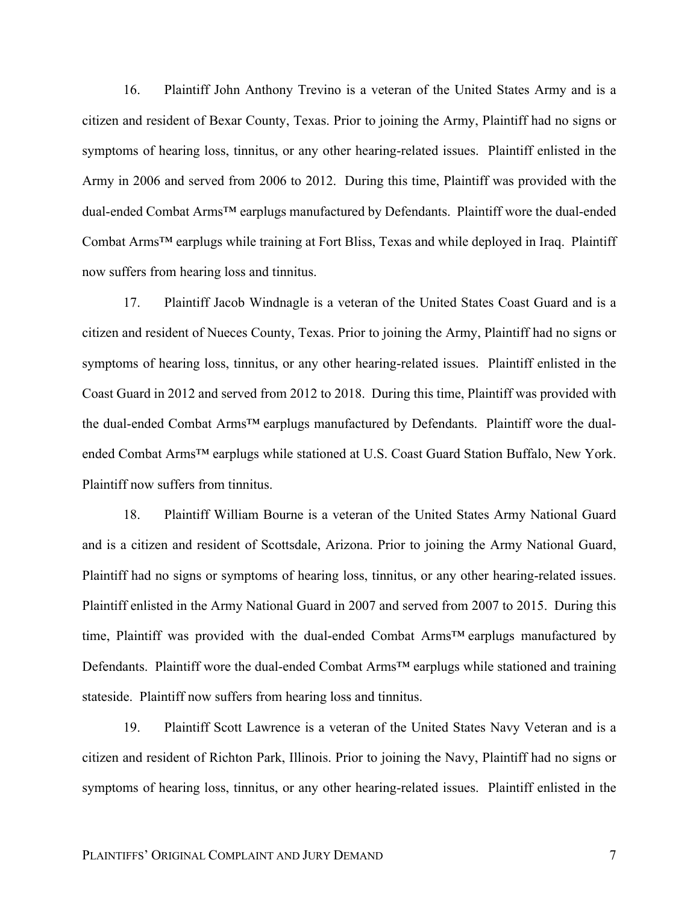16. Plaintiff John Anthony Trevino is a veteran of the United States Army and is a citizen and resident of Bexar County, Texas. Prior to joining the Army, Plaintiff had no signs or symptoms of hearing loss, tinnitus, or any other hearing-related issues. Plaintiff enlisted in the Army in 2006 and served from 2006 to 2012. During this time, Plaintiff was provided with the dual-ended Combat Arms™ earplugs manufactured by Defendants. Plaintiff wore the dual-ended Combat Arms™ earplugs while training at Fort Bliss, Texas and while deployed in Iraq. Plaintiff now suffers from hearing loss and tinnitus.

17. Plaintiff Jacob Windnagle is a veteran of the United States Coast Guard and is a citizen and resident of Nueces County, Texas. Prior to joining the Army, Plaintiff had no signs or symptoms of hearing loss, tinnitus, or any other hearing-related issues. Plaintiff enlisted in the Coast Guard in 2012 and served from 2012 to 2018. During this time, Plaintiff was provided with the dual-ended Combat Arms™ earplugs manufactured by Defendants. Plaintiff wore the dualended Combat Arms™ earplugs while stationed at U.S. Coast Guard Station Buffalo, New York. Plaintiff now suffers from tinnitus.

18. Plaintiff William Bourne is a veteran of the United States Army National Guard and is a citizen and resident of Scottsdale, Arizona. Prior to joining the Army National Guard, Plaintiff had no signs or symptoms of hearing loss, tinnitus, or any other hearing-related issues. Plaintiff enlisted in the Army National Guard in 2007 and served from 2007 to 2015. During this time, Plaintiff was provided with the dual-ended Combat Arms™ earplugs manufactured by Defendants. Plaintiff wore the dual-ended Combat Arms™ earplugs while stationed and training stateside. Plaintiff now suffers from hearing loss and tinnitus.

19. Plaintiff Scott Lawrence is a veteran of the United States Navy Veteran and is a citizen and resident of Richton Park, Illinois. Prior to joining the Navy, Plaintiff had no signs or symptoms of hearing loss, tinnitus, or any other hearing-related issues. Plaintiff enlisted in the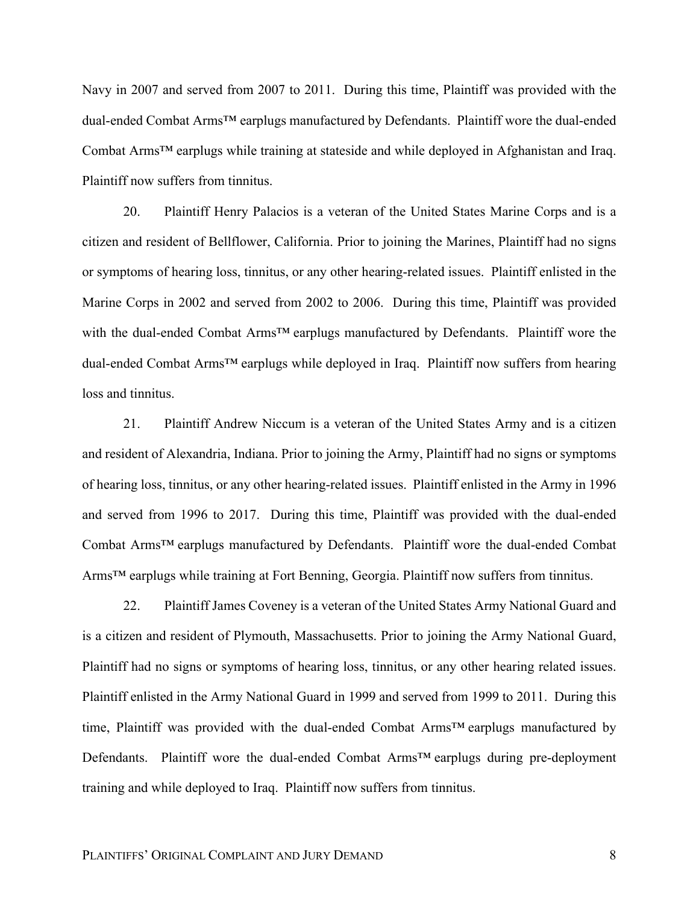Navy in 2007 and served from 2007 to 2011. During this time, Plaintiff was provided with the dual-ended Combat Arms™ earplugs manufactured by Defendants. Plaintiff wore the dual-ended Combat Arms™ earplugs while training at stateside and while deployed in Afghanistan and Iraq. Plaintiff now suffers from tinnitus.

20. Plaintiff Henry Palacios is a veteran of the United States Marine Corps and is a citizen and resident of Bellflower, California. Prior to joining the Marines, Plaintiff had no signs or symptoms of hearing loss, tinnitus, or any other hearing-related issues. Plaintiff enlisted in the Marine Corps in 2002 and served from 2002 to 2006. During this time, Plaintiff was provided with the dual-ended Combat Arms™ earplugs manufactured by Defendants. Plaintiff wore the dual-ended Combat Arms™ earplugs while deployed in Iraq. Plaintiff now suffers from hearing loss and tinnitus.

21. Plaintiff Andrew Niccum is a veteran of the United States Army and is a citizen and resident of Alexandria, Indiana. Prior to joining the Army, Plaintiff had no signs or symptoms of hearing loss, tinnitus, or any other hearing-related issues. Plaintiff enlisted in the Army in 1996 and served from 1996 to 2017. During this time, Plaintiff was provided with the dual-ended Combat Arms™ earplugs manufactured by Defendants. Plaintiff wore the dual-ended Combat Arms™ earplugs while training at Fort Benning, Georgia. Plaintiff now suffers from tinnitus.

22. Plaintiff James Coveney is a veteran of the United States Army National Guard and is a citizen and resident of Plymouth, Massachusetts. Prior to joining the Army National Guard, Plaintiff had no signs or symptoms of hearing loss, tinnitus, or any other hearing related issues. Plaintiff enlisted in the Army National Guard in 1999 and served from 1999 to 2011. During this time, Plaintiff was provided with the dual-ended Combat Arms™ earplugs manufactured by Defendants. Plaintiff wore the dual-ended Combat Arms<sup>™</sup> earplugs during pre-deployment training and while deployed to Iraq. Plaintiff now suffers from tinnitus.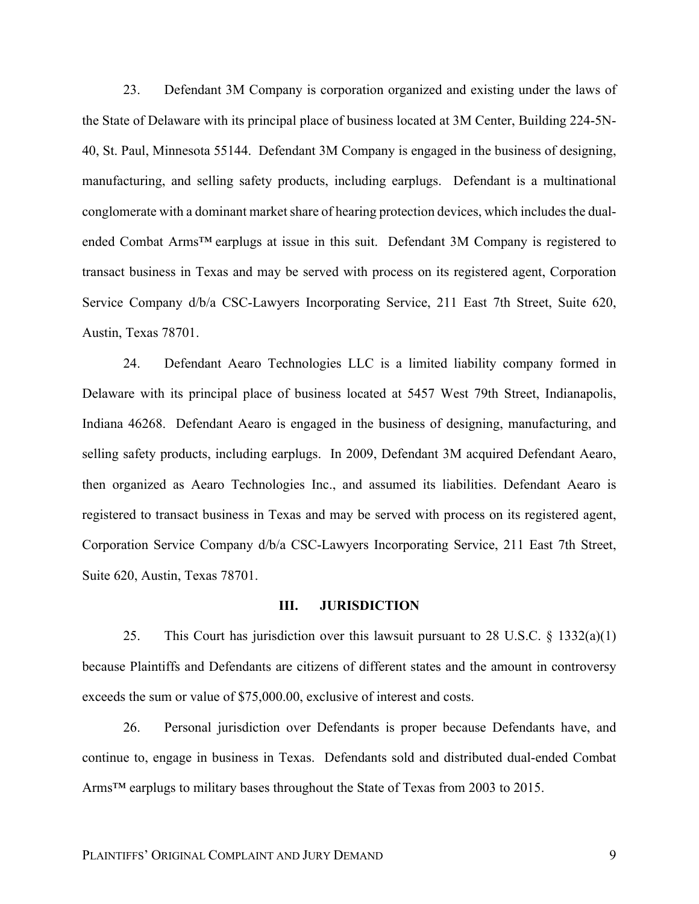23. Defendant 3M Company is corporation organized and existing under the laws of the State of Delaware with its principal place of business located at 3M Center, Building 224-5N-40, St. Paul, Minnesota 55144. Defendant 3M Company is engaged in the business of designing, manufacturing, and selling safety products, including earplugs. Defendant is a multinational conglomerate with a dominant market share of hearing protection devices, which includes the dualended Combat Arms™ earplugs at issue in this suit. Defendant 3M Company is registered to transact business in Texas and may be served with process on its registered agent, Corporation Service Company d/b/a CSC-Lawyers Incorporating Service, 211 East 7th Street, Suite 620, Austin, Texas 78701.

24. Defendant Aearo Technologies LLC is a limited liability company formed in Delaware with its principal place of business located at 5457 West 79th Street, Indianapolis, Indiana 46268. Defendant Aearo is engaged in the business of designing, manufacturing, and selling safety products, including earplugs. In 2009, Defendant 3M acquired Defendant Aearo, then organized as Aearo Technologies Inc., and assumed its liabilities. Defendant Aearo is registered to transact business in Texas and may be served with process on its registered agent, Corporation Service Company d/b/a CSC-Lawyers Incorporating Service, 211 East 7th Street, Suite 620, Austin, Texas 78701.

#### **III. JURISDICTION**

25. This Court has jurisdiction over this lawsuit pursuant to 28 U.S.C. § 1332(a)(1) because Plaintiffs and Defendants are citizens of different states and the amount in controversy exceeds the sum or value of \$75,000.00, exclusive of interest and costs.

26. Personal jurisdiction over Defendants is proper because Defendants have, and continue to, engage in business in Texas. Defendants sold and distributed dual-ended Combat Arms™ earplugs to military bases throughout the State of Texas from 2003 to 2015.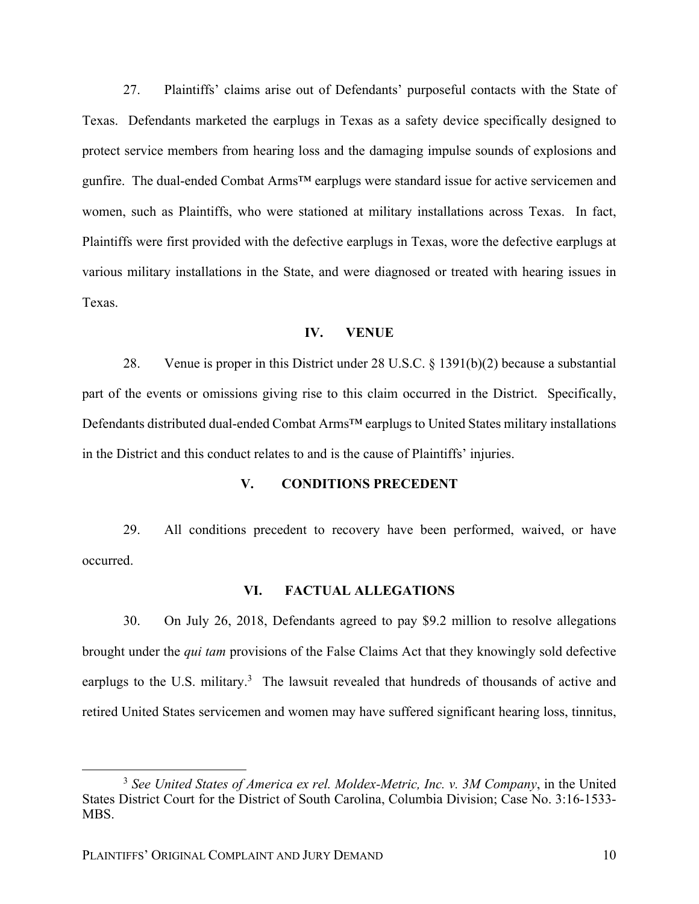27. Plaintiffs' claims arise out of Defendants' purposeful contacts with the State of Texas. Defendants marketed the earplugs in Texas as a safety device specifically designed to protect service members from hearing loss and the damaging impulse sounds of explosions and gunfire. The dual-ended Combat Arms<sup>™</sup> earplugs were standard issue for active servicemen and women, such as Plaintiffs, who were stationed at military installations across Texas. In fact, Plaintiffs were first provided with the defective earplugs in Texas, wore the defective earplugs at various military installations in the State, and were diagnosed or treated with hearing issues in Texas.

# **IV. VENUE**

28. Venue is proper in this District under 28 U.S.C. § 1391(b)(2) because a substantial part of the events or omissions giving rise to this claim occurred in the District. Specifically, Defendants distributed dual-ended Combat Arms™ earplugs to United States military installations in the District and this conduct relates to and is the cause of Plaintiffs' injuries.

# **V. CONDITIONS PRECEDENT**

29. All conditions precedent to recovery have been performed, waived, or have occurred.

## **VI. FACTUAL ALLEGATIONS**

30. On July 26, 2018, Defendants agreed to pay \$9.2 million to resolve allegations brought under the *qui tam* provisions of the False Claims Act that they knowingly sold defective earplugs to the U.S. military.<sup>3</sup> The lawsuit revealed that hundreds of thousands of active and retired United States servicemen and women may have suffered significant hearing loss, tinnitus,

 <sup>3</sup> *See United States of America ex rel. Moldex-Metric, Inc. v. 3M Company*, in the United States District Court for the District of South Carolina, Columbia Division; Case No. 3:16-1533- MBS.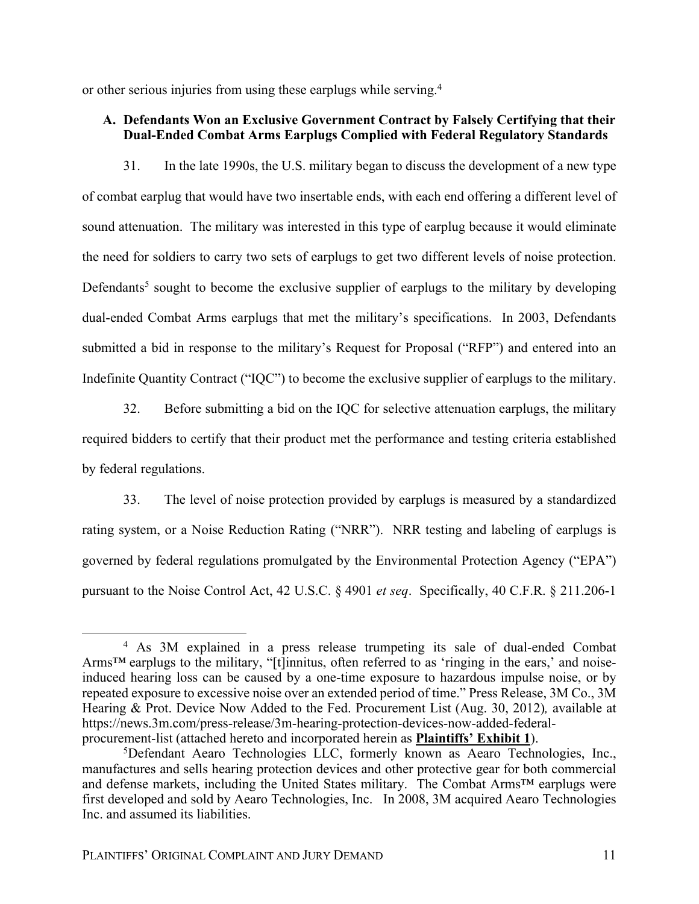or other serious injuries from using these earplugs while serving.4

# **A. Defendants Won an Exclusive Government Contract by Falsely Certifying that their Dual-Ended Combat Arms Earplugs Complied with Federal Regulatory Standards**

31. In the late 1990s, the U.S. military began to discuss the development of a new type of combat earplug that would have two insertable ends, with each end offering a different level of sound attenuation. The military was interested in this type of earplug because it would eliminate the need for soldiers to carry two sets of earplugs to get two different levels of noise protection. Defendants<sup>5</sup> sought to become the exclusive supplier of earplugs to the military by developing dual-ended Combat Arms earplugs that met the military's specifications. In 2003, Defendants submitted a bid in response to the military's Request for Proposal ("RFP") and entered into an Indefinite Quantity Contract ("IQC") to become the exclusive supplier of earplugs to the military.

32. Before submitting a bid on the IQC for selective attenuation earplugs, the military required bidders to certify that their product met the performance and testing criteria established by federal regulations.

33. The level of noise protection provided by earplugs is measured by a standardized rating system, or a Noise Reduction Rating ("NRR"). NRR testing and labeling of earplugs is governed by federal regulations promulgated by the Environmental Protection Agency ("EPA") pursuant to the Noise Control Act, 42 U.S.C. § 4901 *et seq*. Specifically, 40 C.F.R. § 211.206-1

 <sup>4</sup> As 3M explained in a press release trumpeting its sale of dual-ended Combat Arms™ earplugs to the military, "[t]innitus, often referred to as 'ringing in the ears,' and noiseinduced hearing loss can be caused by a one-time exposure to hazardous impulse noise, or by repeated exposure to excessive noise over an extended period of time." Press Release, 3M Co., 3M Hearing & Prot. Device Now Added to the Fed. Procurement List (Aug. 30, 2012)*,* available at https://news.3m.com/press-release/3m-hearing-protection-devices-now-added-federalprocurement-list (attached hereto and incorporated herein as **Plaintiffs' Exhibit 1**).

<sup>5</sup>Defendant Aearo Technologies LLC, formerly known as Aearo Technologies, Inc., manufactures and sells hearing protection devices and other protective gear for both commercial and defense markets, including the United States military. The Combat Arms™ earplugs were first developed and sold by Aearo Technologies, Inc. In 2008, 3M acquired Aearo Technologies Inc. and assumed its liabilities.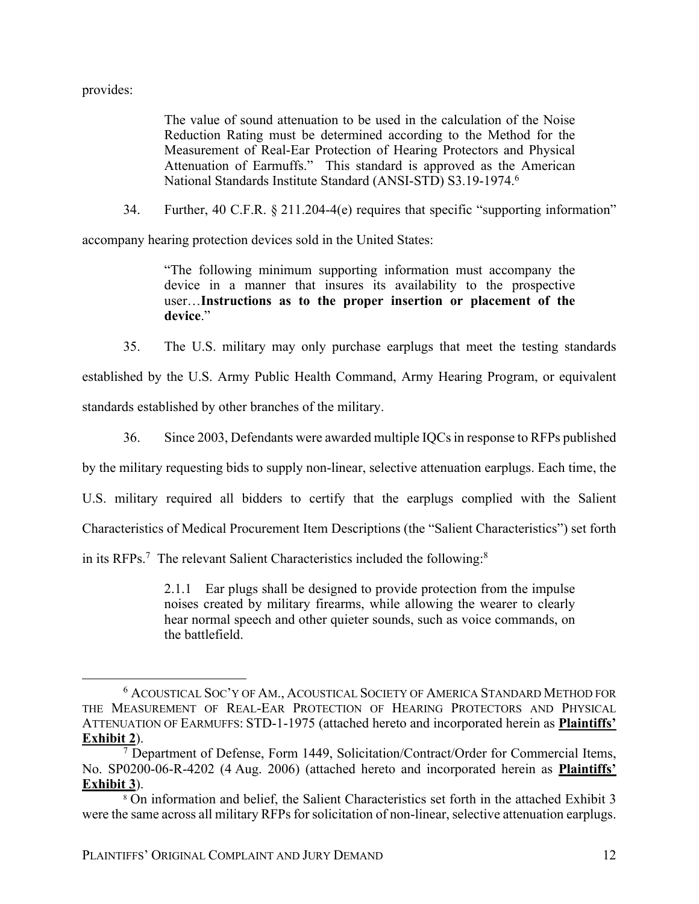provides:

The value of sound attenuation to be used in the calculation of the Noise Reduction Rating must be determined according to the Method for the Measurement of Real-Ear Protection of Hearing Protectors and Physical Attenuation of Earmuffs." This standard is approved as the American National Standards Institute Standard (ANSI-STD) S3.19-1974.6

34. Further, 40 C.F.R. § 211.204-4(e) requires that specific "supporting information"

accompany hearing protection devices sold in the United States:

"The following minimum supporting information must accompany the device in a manner that insures its availability to the prospective user…**Instructions as to the proper insertion or placement of the device**."

35. The U.S. military may only purchase earplugs that meet the testing standards

established by the U.S. Army Public Health Command, Army Hearing Program, or equivalent standards established by other branches of the military.

36. Since 2003, Defendants were awarded multiple IQCs in response to RFPs published

by the military requesting bids to supply non-linear, selective attenuation earplugs. Each time, the

U.S. military required all bidders to certify that the earplugs complied with the Salient

Characteristics of Medical Procurement Item Descriptions (the "Salient Characteristics") set forth

in its RFPs.<sup>7</sup> The relevant Salient Characteristics included the following:<sup>8</sup>

2.1.1 Ear plugs shall be designed to provide protection from the impulse noises created by military firearms, while allowing the wearer to clearly hear normal speech and other quieter sounds, such as voice commands, on the battlefield.

 <sup>6</sup> ACOUSTICAL SOC'Y OF AM., ACOUSTICAL SOCIETY OF AMERICA STANDARD METHOD FOR THE MEASUREMENT OF REAL-EAR PROTECTION OF HEARING PROTECTORS AND PHYSICAL ATTENUATION OF EARMUFFS: STD-1-1975 (attached hereto and incorporated herein as **Plaintiffs' Exhibit 2**).

 $7$  Department of Defense, Form 1449, Solicitation/Contract/Order for Commercial Items, No. SP0200-06-R-4202 (4 Aug. 2006) (attached hereto and incorporated herein as **Plaintiffs' Exhibit 3**).

<sup>8</sup> On information and belief, the Salient Characteristics set forth in the attached Exhibit 3 were the same across all military RFPs for solicitation of non-linear, selective attenuation earplugs.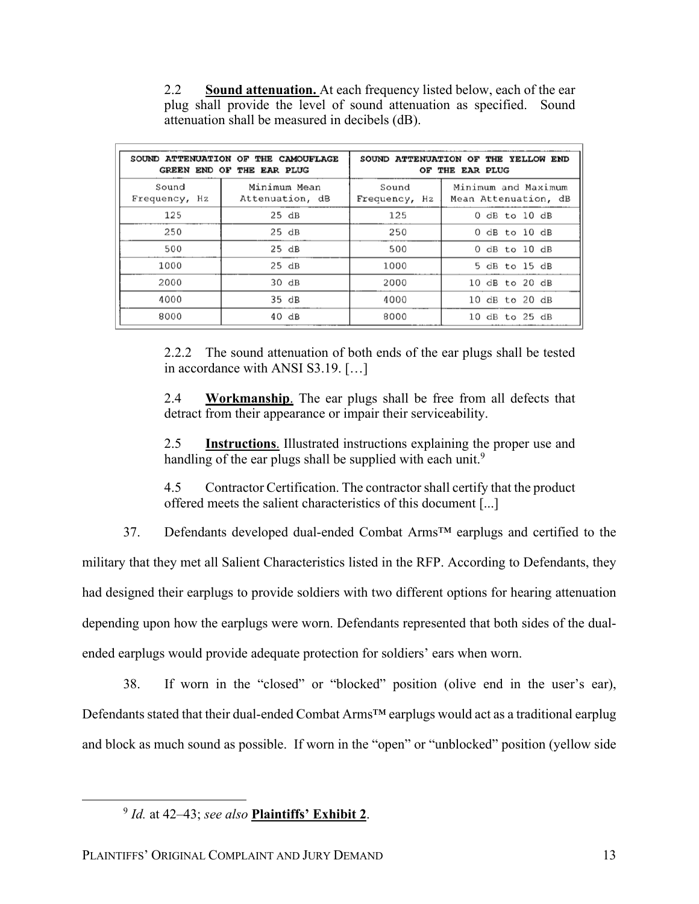2.2 **Sound attenuation.** At each frequency listed below, each of the ear plug shall provide the level of sound attenuation as specified. Sound attenuation shall be measured in decibels (dB).

|                        | SOUND ATTENUATION OF THE CAMOUFLAGE<br>GREEN END OF THE EAR PLUG |                        | SOUND ATTENUATION OF THE YELLOW END<br>OF THE EAR PLUG |
|------------------------|------------------------------------------------------------------|------------------------|--------------------------------------------------------|
| Sound<br>Frequency, Hz | Minimum Mean<br>Attenuation, dB                                  | Sound<br>Frequency, Hz | Minimum and Maximum<br>Mean Attenuation, dB            |
| 125                    | $25$ dB                                                          | 125                    | $0$ dB to $10$ dB                                      |
| 250                    | $25$ dB                                                          | 250                    | $0$ dB to $10$ dB                                      |
| 500                    | 25 dB                                                            | 500                    | $0$ dB to $10$ dB                                      |
| 1000                   | 25 dB                                                            | 1000                   | 5 dB to 15 dB                                          |
| 2000                   | 30 dB                                                            | 2000                   | 10 dB to 20 dB                                         |
| 4000                   | 35 dB                                                            | 4000                   | 10 dB to 20 dB                                         |
| 8000                   | 40dB                                                             | 8000                   | 10 dB to 25 dB                                         |

2.2.2 The sound attenuation of both ends of the ear plugs shall be tested in accordance with ANSI S3.19. […]

2.4 **Workmanship**. The ear plugs shall be free from all defects that detract from their appearance or impair their serviceability.

2.5 **Instructions**. Illustrated instructions explaining the proper use and handling of the ear plugs shall be supplied with each unit.<sup>9</sup>

4.5 Contractor Certification. The contractor shall certify that the product offered meets the salient characteristics of this document [...]

37. Defendants developed dual-ended Combat Arms™ earplugs and certified to the military that they met all Salient Characteristics listed in the RFP. According to Defendants, they had designed their earplugs to provide soldiers with two different options for hearing attenuation depending upon how the earplugs were worn. Defendants represented that both sides of the dualended earplugs would provide adequate protection for soldiers' ears when worn.

38. If worn in the "closed" or "blocked" position (olive end in the user's ear), Defendants stated that their dual-ended Combat Arms™ earplugs would act as a traditional earplug and block as much sound as possible. If worn in the "open" or "unblocked" position (yellow side

 <sup>9</sup> *Id.* at 42–43; *see also* **Plaintiffs' Exhibit 2**.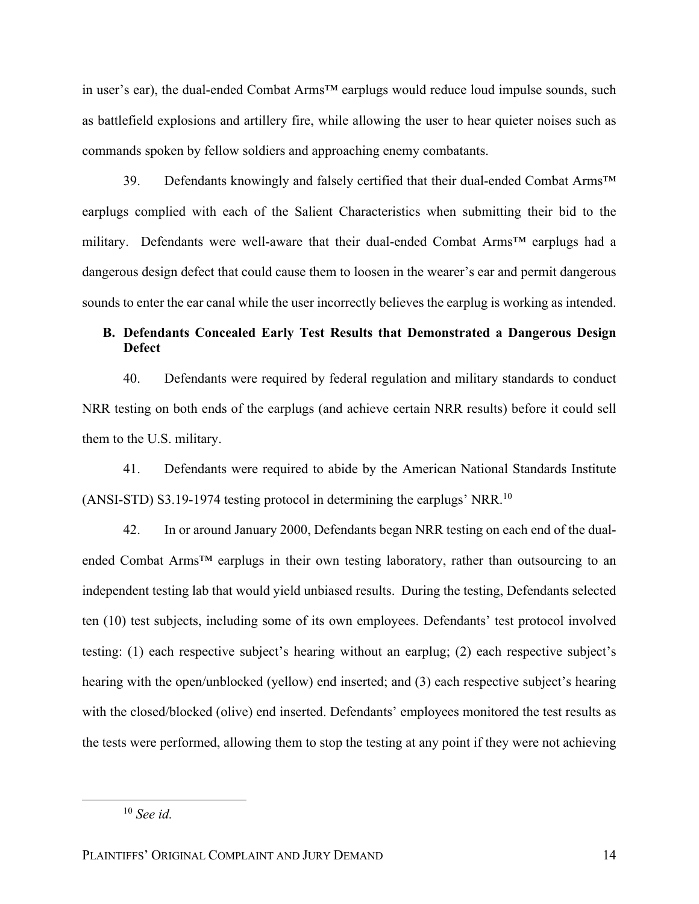in user's ear), the dual-ended Combat Arms™ earplugs would reduce loud impulse sounds, such as battlefield explosions and artillery fire, while allowing the user to hear quieter noises such as commands spoken by fellow soldiers and approaching enemy combatants.

39. Defendants knowingly and falsely certified that their dual-ended Combat Arms<sup>™</sup> earplugs complied with each of the Salient Characteristics when submitting their bid to the military. Defendants were well-aware that their dual-ended Combat Arms™ earplugs had a dangerous design defect that could cause them to loosen in the wearer's ear and permit dangerous sounds to enter the ear canal while the user incorrectly believes the earplug is working as intended.

# **B. Defendants Concealed Early Test Results that Demonstrated a Dangerous Design Defect**

40. Defendants were required by federal regulation and military standards to conduct NRR testing on both ends of the earplugs (and achieve certain NRR results) before it could sell them to the U.S. military.

41. Defendants were required to abide by the American National Standards Institute (ANSI-STD) S3.19-1974 testing protocol in determining the earplugs' NRR.10

42. In or around January 2000, Defendants began NRR testing on each end of the dualended Combat Arms™ earplugs in their own testing laboratory, rather than outsourcing to an independent testing lab that would yield unbiased results. During the testing, Defendants selected ten (10) test subjects, including some of its own employees. Defendants' test protocol involved testing: (1) each respective subject's hearing without an earplug; (2) each respective subject's hearing with the open/unblocked (yellow) end inserted; and (3) each respective subject's hearing with the closed/blocked (olive) end inserted. Defendants' employees monitored the test results as the tests were performed, allowing them to stop the testing at any point if they were not achieving

 <sup>10</sup> *See id.*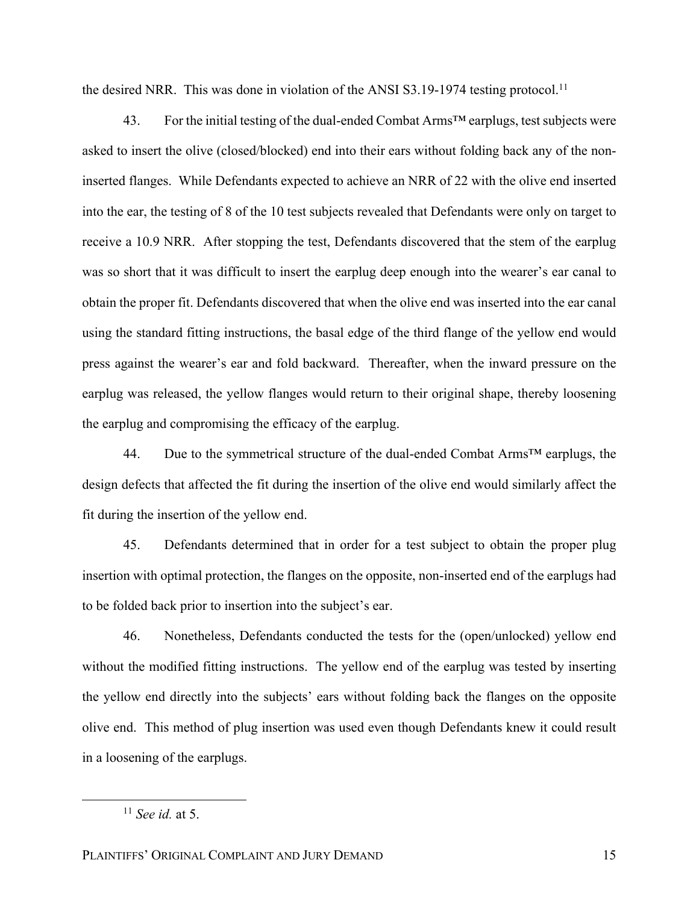the desired NRR. This was done in violation of the ANSI  $S3.19$ -1974 testing protocol.<sup>11</sup>

43. For the initial testing of the dual-ended Combat Arms<sup>™</sup> earplugs, test subjects were asked to insert the olive (closed/blocked) end into their ears without folding back any of the noninserted flanges. While Defendants expected to achieve an NRR of 22 with the olive end inserted into the ear, the testing of 8 of the 10 test subjects revealed that Defendants were only on target to receive a 10.9 NRR. After stopping the test, Defendants discovered that the stem of the earplug was so short that it was difficult to insert the earplug deep enough into the wearer's ear canal to obtain the proper fit. Defendants discovered that when the olive end was inserted into the ear canal using the standard fitting instructions, the basal edge of the third flange of the yellow end would press against the wearer's ear and fold backward. Thereafter, when the inward pressure on the earplug was released, the yellow flanges would return to their original shape, thereby loosening the earplug and compromising the efficacy of the earplug.

44. Due to the symmetrical structure of the dual-ended Combat Arms<sup>TM</sup> earplugs, the design defects that affected the fit during the insertion of the olive end would similarly affect the fit during the insertion of the yellow end.

45. Defendants determined that in order for a test subject to obtain the proper plug insertion with optimal protection, the flanges on the opposite, non-inserted end of the earplugs had to be folded back prior to insertion into the subject's ear.

46. Nonetheless, Defendants conducted the tests for the (open/unlocked) yellow end without the modified fitting instructions. The yellow end of the earplug was tested by inserting the yellow end directly into the subjects' ears without folding back the flanges on the opposite olive end. This method of plug insertion was used even though Defendants knew it could result in a loosening of the earplugs.

 <sup>11</sup> *See id.* at 5.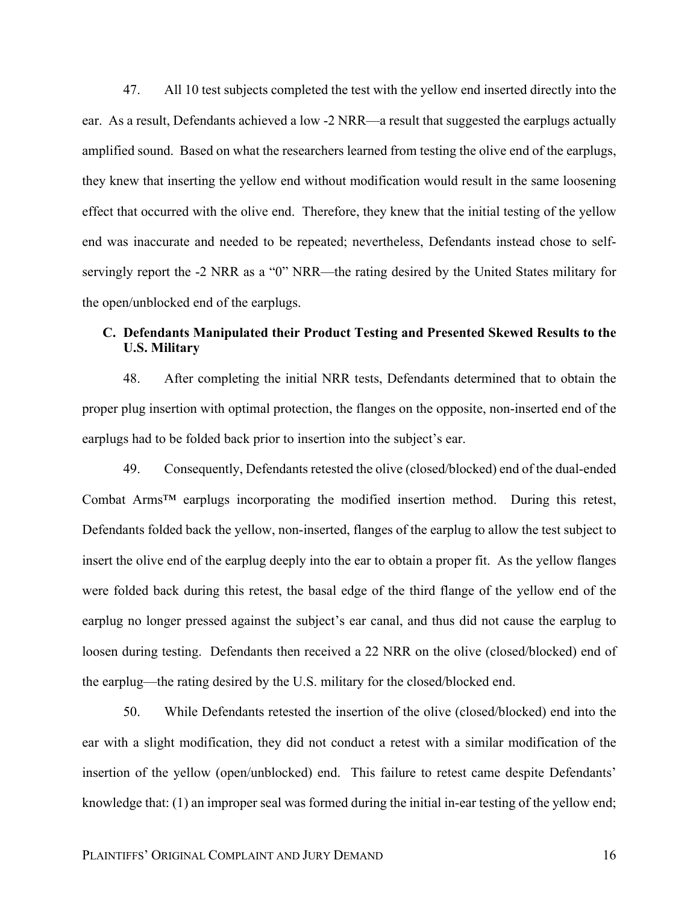47. All 10 test subjects completed the test with the yellow end inserted directly into the ear. As a result, Defendants achieved a low -2 NRR—a result that suggested the earplugs actually amplified sound. Based on what the researchers learned from testing the olive end of the earplugs, they knew that inserting the yellow end without modification would result in the same loosening effect that occurred with the olive end. Therefore, they knew that the initial testing of the yellow end was inaccurate and needed to be repeated; nevertheless, Defendants instead chose to selfservingly report the -2 NRR as a "0" NRR—the rating desired by the United States military for the open/unblocked end of the earplugs.

# **C. Defendants Manipulated their Product Testing and Presented Skewed Results to the U.S. Military**

48. After completing the initial NRR tests, Defendants determined that to obtain the proper plug insertion with optimal protection, the flanges on the opposite, non-inserted end of the earplugs had to be folded back prior to insertion into the subject's ear.

49. Consequently, Defendants retested the olive (closed/blocked) end of the dual-ended Combat Arms™ earplugs incorporating the modified insertion method. During this retest, Defendants folded back the yellow, non-inserted, flanges of the earplug to allow the test subject to insert the olive end of the earplug deeply into the ear to obtain a proper fit. As the yellow flanges were folded back during this retest, the basal edge of the third flange of the yellow end of the earplug no longer pressed against the subject's ear canal, and thus did not cause the earplug to loosen during testing. Defendants then received a 22 NRR on the olive (closed/blocked) end of the earplug—the rating desired by the U.S. military for the closed/blocked end.

50. While Defendants retested the insertion of the olive (closed/blocked) end into the ear with a slight modification, they did not conduct a retest with a similar modification of the insertion of the yellow (open/unblocked) end. This failure to retest came despite Defendants' knowledge that: (1) an improper seal was formed during the initial in-ear testing of the yellow end;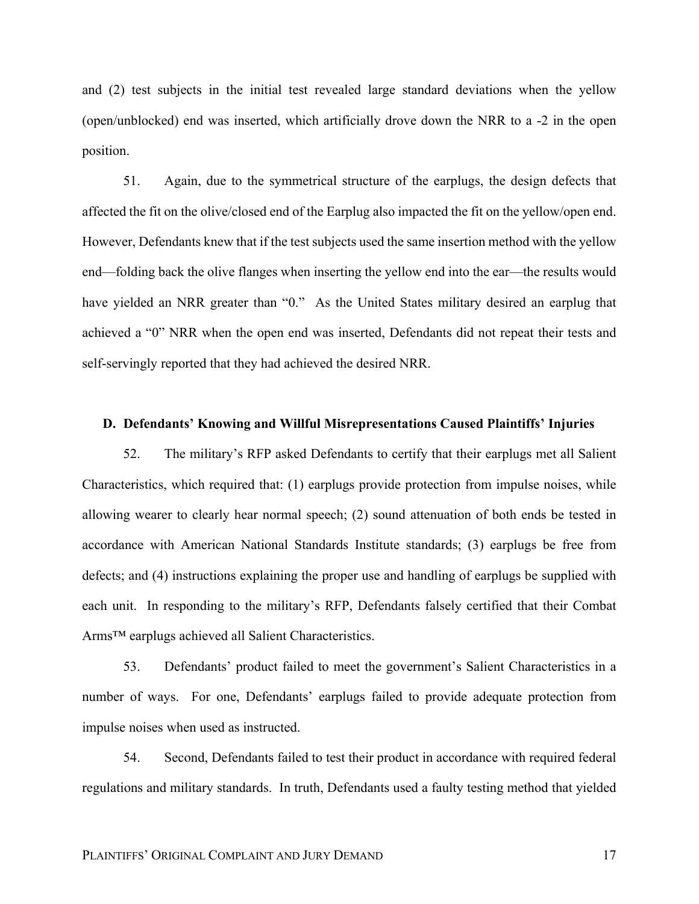and (2) test subjects in the initial test revealed large standard deviations when the yellow (open/unblocked) end was inserted, which artificially drove down the NRR to a -2 in the open position.

51. Again, due to the symmetrical structure of the earplugs, the design defects that affected the fit on the olive/closed end of the Earplug also impacted the fit on the yellow/open end. However, Defendants knew that if the test subjects used the same insertion method with the yellow end—folding back the olive flanges when inserting the yellow end into the ear—the results would have yielded an NRR greater than "0." As the United States military desired an earplug that achieved a "0" NRR when the open end was inserted, Defendants did not repeat their tests and self-servingly reported that they had achieved the desired NRR.

### **D. Defendants' Knowing and Willful Misrepresentations Caused Plaintiffs' Injuries**

52. The military's RFP asked Defendants to certify that their earplugs met all Salient Characteristics, which required that: (1) earplugs provide protection from impulse noises, while allowing wearer to clearly hear normal speech; (2) sound attenuation of both ends be tested in accordance with American National Standards Institute standards; (3) earplugs be free from defects; and (4) instructions explaining the proper use and handling of earplugs be supplied with each unit. In responding to the military's RFP, Defendants falsely certified that their Combat Arms™ earplugs achieved all Salient Characteristics.

53. Defendants' product failed to meet the government's Salient Characteristics in a number of ways. For one, Defendants' earplugs failed to provide adequate protection from impulse noises when used as instructed.

54. Second, Defendants failed to test their product in accordance with required federal regulations and military standards. In truth, Defendants used a faulty testing method that yielded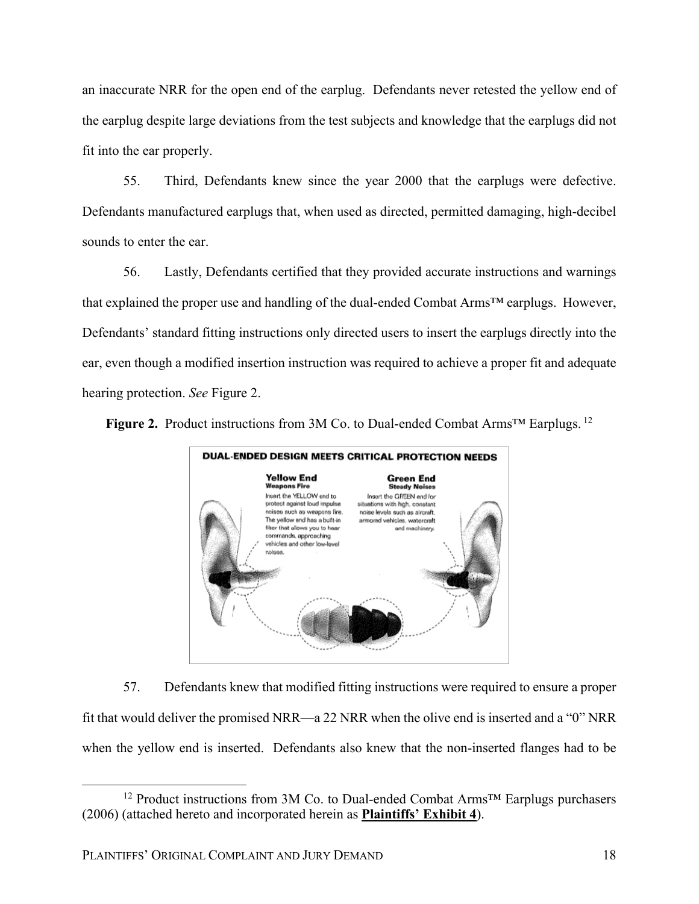an inaccurate NRR for the open end of the earplug. Defendants never retested the yellow end of the earplug despite large deviations from the test subjects and knowledge that the earplugs did not fit into the ear properly.

55. Third, Defendants knew since the year 2000 that the earplugs were defective. Defendants manufactured earplugs that, when used as directed, permitted damaging, high-decibel sounds to enter the ear.

56. Lastly, Defendants certified that they provided accurate instructions and warnings that explained the proper use and handling of the dual-ended Combat Arms™ earplugs. However, Defendants' standard fitting instructions only directed users to insert the earplugs directly into the ear, even though a modified insertion instruction was required to achieve a proper fit and adequate hearing protection. *See* Figure 2.



**Figure 2.** Product instructions from 3M Co. to Dual-ended Combat Arms™ Earplugs. <sup>12</sup>

57. Defendants knew that modified fitting instructions were required to ensure a proper fit that would deliver the promised NRR—a 22 NRR when the olive end is inserted and a "0" NRR when the yellow end is inserted. Defendants also knew that the non-inserted flanges had to be

 <sup>12</sup> Product instructions from 3M Co. to Dual-ended Combat Arms™ Earplugs purchasers (2006) (attached hereto and incorporated herein as **Plaintiffs' Exhibit 4**).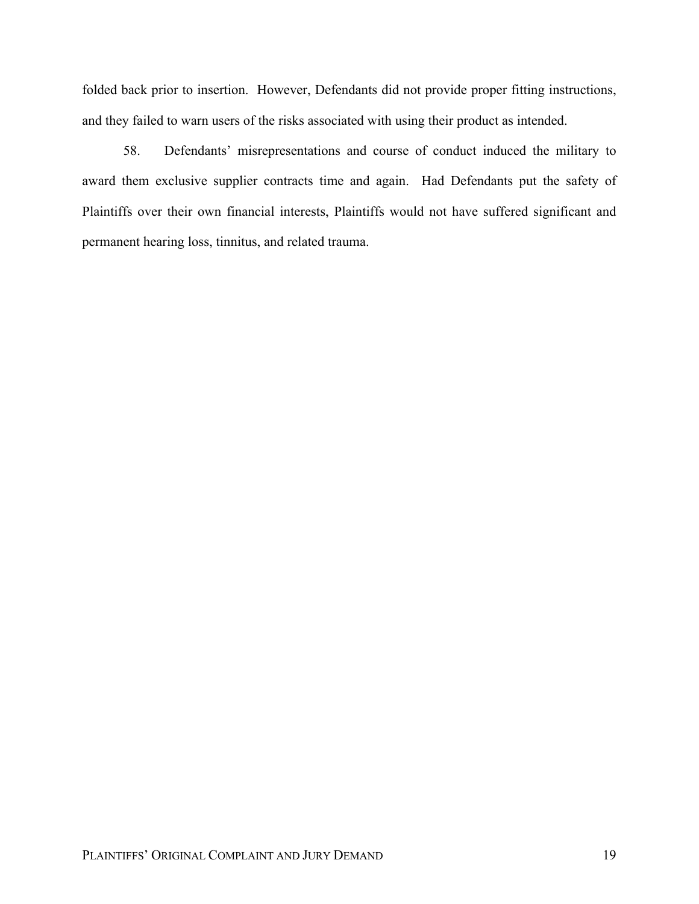folded back prior to insertion. However, Defendants did not provide proper fitting instructions, and they failed to warn users of the risks associated with using their product as intended.

58. Defendants' misrepresentations and course of conduct induced the military to award them exclusive supplier contracts time and again. Had Defendants put the safety of Plaintiffs over their own financial interests, Plaintiffs would not have suffered significant and permanent hearing loss, tinnitus, and related trauma.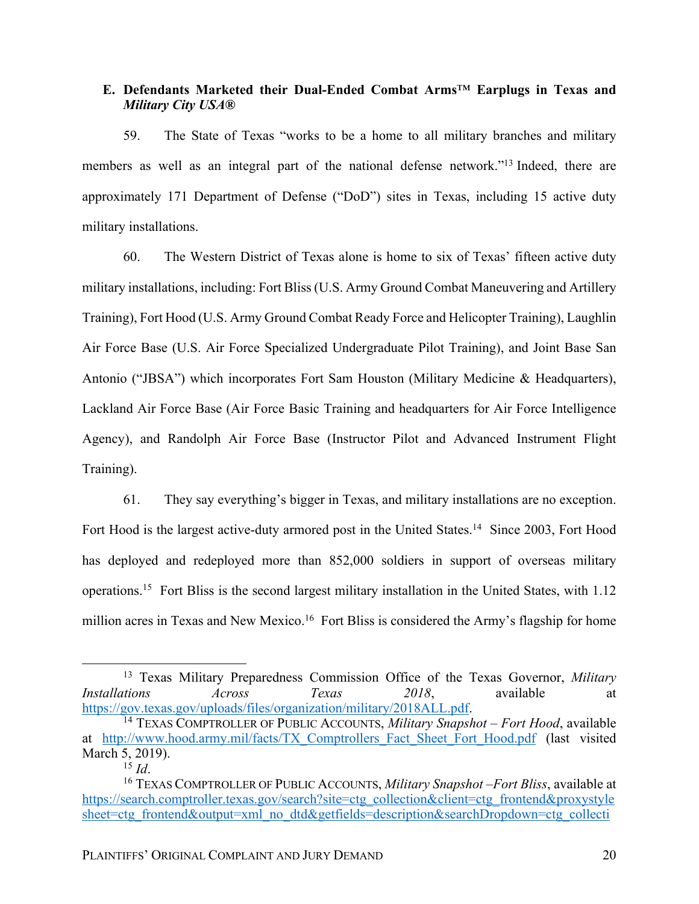# **E. Defendants Marketed their Dual-Ended Combat Arms**™ **Earplugs in Texas and**  *Military City USA***®**

59. The State of Texas "works to be a home to all military branches and military members as well as an integral part of the national defense network."13 Indeed, there are approximately 171 Department of Defense ("DoD") sites in Texas, including 15 active duty military installations.

60. The Western District of Texas alone is home to six of Texas' fifteen active duty military installations, including: Fort Bliss (U.S. Army Ground Combat Maneuvering and Artillery Training), Fort Hood (U.S. Army Ground Combat Ready Force and Helicopter Training), Laughlin Air Force Base (U.S. Air Force Specialized Undergraduate Pilot Training), and Joint Base San Antonio ("JBSA") which incorporates Fort Sam Houston (Military Medicine & Headquarters), Lackland Air Force Base (Air Force Basic Training and headquarters for Air Force Intelligence Agency), and Randolph Air Force Base (Instructor Pilot and Advanced Instrument Flight Training).

61. They say everything's bigger in Texas, and military installations are no exception. Fort Hood is the largest active-duty armored post in the United States.<sup>14</sup> Since 2003, Fort Hood has deployed and redeployed more than 852,000 soldiers in support of overseas military operations.15 Fort Bliss is the second largest military installation in the United States, with 1.12 million acres in Texas and New Mexico.<sup>16</sup> Fort Bliss is considered the Army's flagship for home

 <sup>13</sup> Texas Military Preparedness Commission Office of the Texas Governor, *Military Installations Across Texas 2018*, available at https://gov.texas.gov/uploads/files/organization/military/2018ALL.pdf.

<sup>14</sup> TEXAS COMPTROLLER OF PUBLIC ACCOUNTS, *Military Snapshot – Fort Hood*, available at http://www.hood.army.mil/facts/TX Comptrollers Fact Sheet Fort Hood.pdf (last visited March 5, 2019).

 $^{15}$  *Id.* 

<sup>16</sup> TEXAS COMPTROLLER OF PUBLIC ACCOUNTS, *Military Snapshot –Fort Bliss*, available at https://search.comptroller.texas.gov/search?site=ctg\_collection&client=ctg\_frontend&proxystyle sheet=ctg\_frontend&output=xml\_no\_dtd&getfields=description&searchDropdown=ctg\_collecti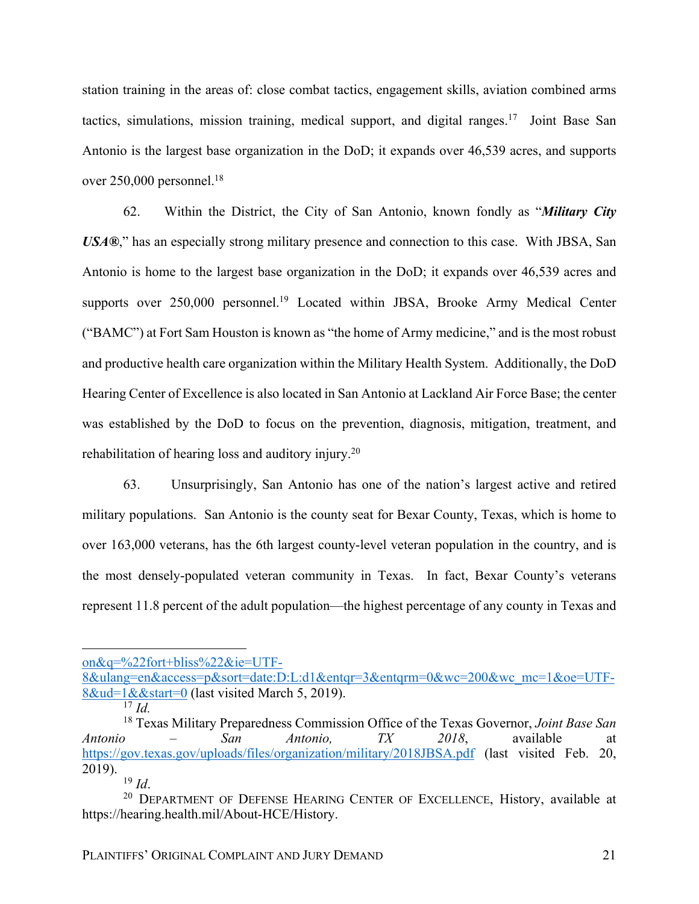station training in the areas of: close combat tactics, engagement skills, aviation combined arms tactics, simulations, mission training, medical support, and digital ranges.<sup>17</sup> Joint Base San Antonio is the largest base organization in the DoD; it expands over 46,539 acres, and supports over 250,000 personnel.<sup>18</sup>

62. Within the District, the City of San Antonio, known fondly as "*Military City USA®*," has an especially strong military presence and connection to this case. With JBSA, San Antonio is home to the largest base organization in the DoD; it expands over 46,539 acres and supports over 250,000 personnel.<sup>19</sup> Located within JBSA, Brooke Army Medical Center ("BAMC") at Fort Sam Houston is known as "the home of Army medicine," and is the most robust and productive health care organization within the Military Health System. Additionally, the DoD Hearing Center of Excellence is also located in San Antonio at Lackland Air Force Base; the center was established by the DoD to focus on the prevention, diagnosis, mitigation, treatment, and rehabilitation of hearing loss and auditory injury.<sup>20</sup>

63. Unsurprisingly, San Antonio has one of the nation's largest active and retired military populations. San Antonio is the county seat for Bexar County, Texas, which is home to over 163,000 veterans, has the 6th largest county-level veteran population in the country, and is the most densely-populated veteran community in Texas. In fact, Bexar County's veterans represent 11.8 percent of the adult population—the highest percentage of any county in Texas and

<sup>17</sup> *Id.*

 $\overline{a}$ on&q=%22fort+bliss%22&ie=UTF-

<sup>8&</sup>amp;ulang=en&access=p&sort=date:D:L:d1&entqr=3&entqrm=0&wc=200&wc\_mc=1&oe=UTF-8&ud=1&&start=0 (last visited March 5, 2019).

<sup>18</sup> Texas Military Preparedness Commission Office of the Texas Governor, *Joint Base San Antonio – San Antonio, TX 2018*, available at https://gov.texas.gov/uploads/files/organization/military/2018JBSA.pdf (last visited Feb. 20, 2019).

<sup>19</sup> *Id*.

<sup>&</sup>lt;sup>20</sup> DEPARTMENT OF DEFENSE HEARING CENTER OF EXCELLENCE, History, available at https://hearing.health.mil/About-HCE/History.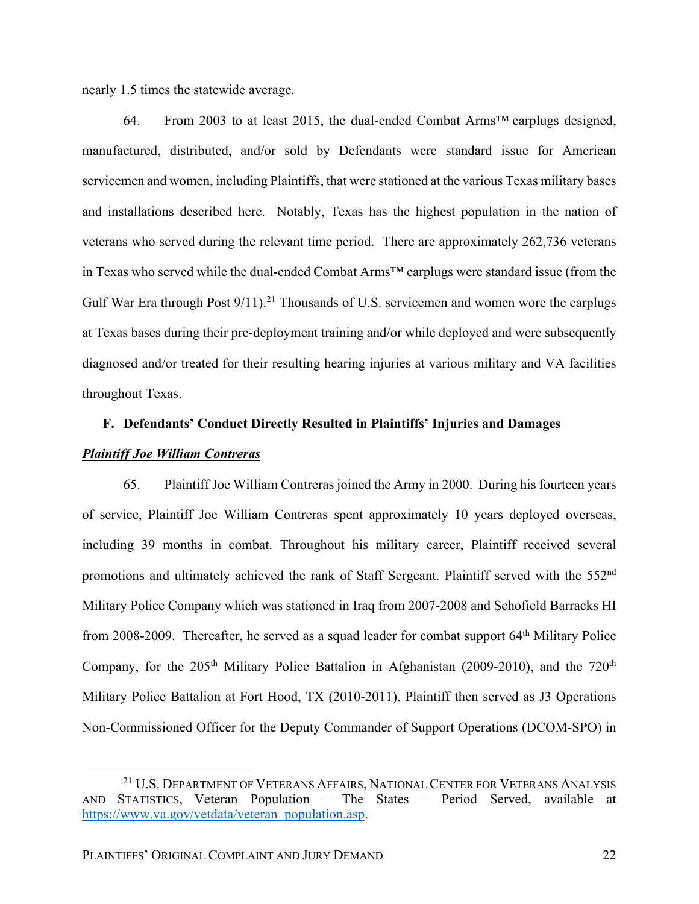nearly 1.5 times the statewide average.

64. From 2003 to at least 2015, the dual-ended Combat Arms<sup>TM</sup> earplugs designed, manufactured, distributed, and/or sold by Defendants were standard issue for American servicemen and women, including Plaintiffs, that were stationed at the various Texas military bases and installations described here. Notably, Texas has the highest population in the nation of veterans who served during the relevant time period. There are approximately 262,736 veterans in Texas who served while the dual-ended Combat Arms™ earplugs were standard issue (from the Gulf War Era through Post 9/11).<sup>21</sup> Thousands of U.S. servicemen and women wore the earplugs at Texas bases during their pre-deployment training and/or while deployed and were subsequently diagnosed and/or treated for their resulting hearing injuries at various military and VA facilities throughout Texas.

# **F. Defendants' Conduct Directly Resulted in Plaintiffs' Injuries and Damages**

## *Plaintiff Joe William Contreras*

65. Plaintiff Joe William Contreras joined the Army in 2000. During his fourteen years of service, Plaintiff Joe William Contreras spent approximately 10 years deployed overseas, including 39 months in combat. Throughout his military career, Plaintiff received several promotions and ultimately achieved the rank of Staff Sergeant. Plaintiff served with the 552<sup>nd</sup> Military Police Company which was stationed in Iraq from 2007-2008 and Schofield Barracks HI from 2008-2009. Thereafter, he served as a squad leader for combat support 64<sup>th</sup> Military Police Company, for the  $205<sup>th</sup>$  Military Police Battalion in Afghanistan (2009-2010), and the 720<sup>th</sup> Military Police Battalion at Fort Hood, TX (2010-2011). Plaintiff then served as J3 Operations Non-Commissioned Officer for the Deputy Commander of Support Operations (DCOM-SPO) in

<sup>&</sup>lt;sup>21</sup> U.S. DEPARTMENT OF VETERANS AFFAIRS, NATIONAL CENTER FOR VETERANS ANALYSIS AND STATISTICS, Veteran Population – The States – Period Served, available at https://www.va.gov/vetdata/veteran\_population.asp.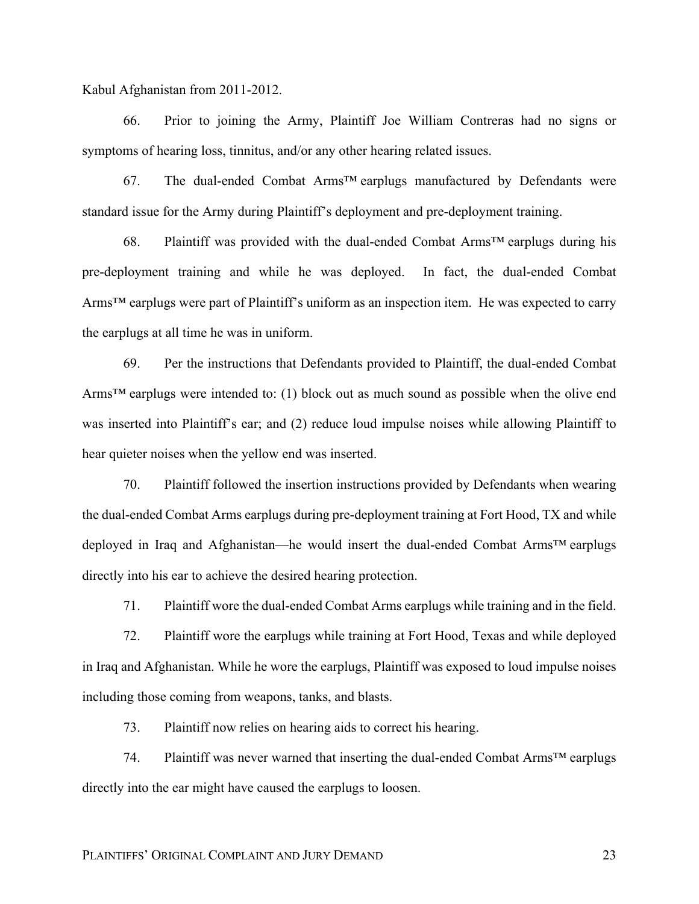Kabul Afghanistan from 2011-2012.

66. Prior to joining the Army, Plaintiff Joe William Contreras had no signs or symptoms of hearing loss, tinnitus, and/or any other hearing related issues.

67. The dual-ended Combat Arms™ earplugs manufactured by Defendants were standard issue for the Army during Plaintiff's deployment and pre-deployment training.

68. Plaintiff was provided with the dual-ended Combat Arms<sup> $TM$ </sup> earplugs during his pre-deployment training and while he was deployed. In fact, the dual-ended Combat Arms<sup>™</sup> earplugs were part of Plaintiff's uniform as an inspection item. He was expected to carry the earplugs at all time he was in uniform.

69. Per the instructions that Defendants provided to Plaintiff, the dual-ended Combat Arms<sup>TM</sup> earplugs were intended to: (1) block out as much sound as possible when the olive end was inserted into Plaintiff's ear; and (2) reduce loud impulse noises while allowing Plaintiff to hear quieter noises when the yellow end was inserted.

70. Plaintiff followed the insertion instructions provided by Defendants when wearing the dual-ended Combat Arms earplugs during pre-deployment training at Fort Hood, TX and while deployed in Iraq and Afghanistan—he would insert the dual-ended Combat Arms™ earplugs directly into his ear to achieve the desired hearing protection.

71. Plaintiff wore the dual-ended Combat Arms earplugs while training and in the field.

72. Plaintiff wore the earplugs while training at Fort Hood, Texas and while deployed in Iraq and Afghanistan. While he wore the earplugs, Plaintiff was exposed to loud impulse noises including those coming from weapons, tanks, and blasts.

73. Plaintiff now relies on hearing aids to correct his hearing.

74. Plaintiff was never warned that inserting the dual-ended Combat Arms™ earplugs directly into the ear might have caused the earplugs to loosen.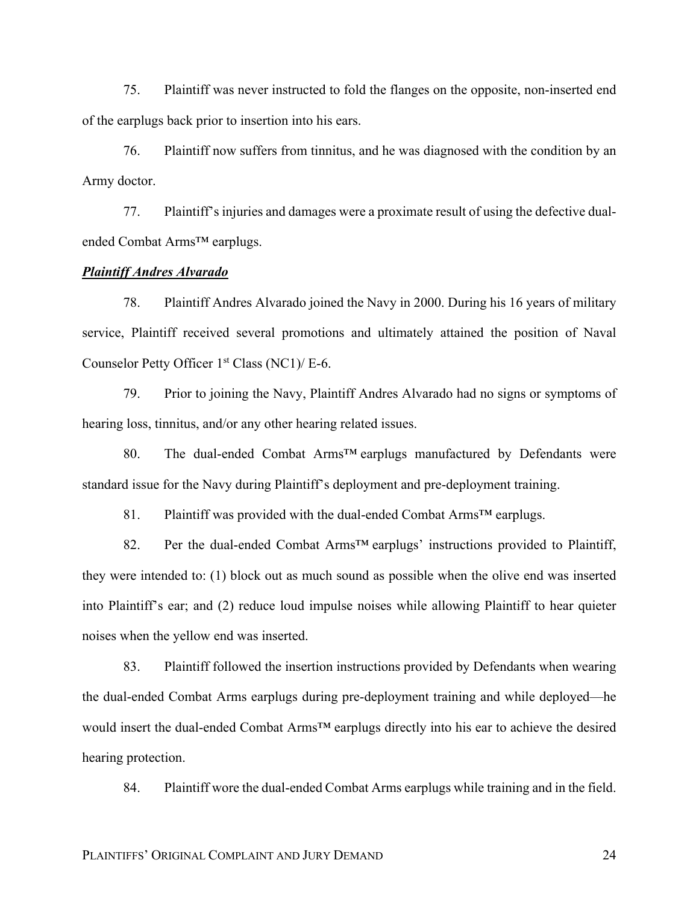75. Plaintiff was never instructed to fold the flanges on the opposite, non-inserted end of the earplugs back prior to insertion into his ears.

76. Plaintiff now suffers from tinnitus, and he was diagnosed with the condition by an Army doctor.

77. Plaintiff's injuries and damages were a proximate result of using the defective dualended Combat Arms™ earplugs.

# *Plaintiff Andres Alvarado*

78. Plaintiff Andres Alvarado joined the Navy in 2000. During his 16 years of military service, Plaintiff received several promotions and ultimately attained the position of Naval Counselor Petty Officer 1<sup>st</sup> Class (NC1)/ E-6.

79. Prior to joining the Navy, Plaintiff Andres Alvarado had no signs or symptoms of hearing loss, tinnitus, and/or any other hearing related issues.

80. The dual-ended Combat Arms™ earplugs manufactured by Defendants were standard issue for the Navy during Plaintiff's deployment and pre-deployment training.

81. Plaintiff was provided with the dual-ended Combat Arms<sup>™</sup> earplugs.

82. Per the dual-ended Combat Arms<sup>™</sup> earplugs' instructions provided to Plaintiff, they were intended to: (1) block out as much sound as possible when the olive end was inserted into Plaintiff's ear; and (2) reduce loud impulse noises while allowing Plaintiff to hear quieter noises when the yellow end was inserted.

83. Plaintiff followed the insertion instructions provided by Defendants when wearing the dual-ended Combat Arms earplugs during pre-deployment training and while deployed—he would insert the dual-ended Combat Arms™ earplugs directly into his ear to achieve the desired hearing protection.

84. Plaintiff wore the dual-ended Combat Arms earplugs while training and in the field.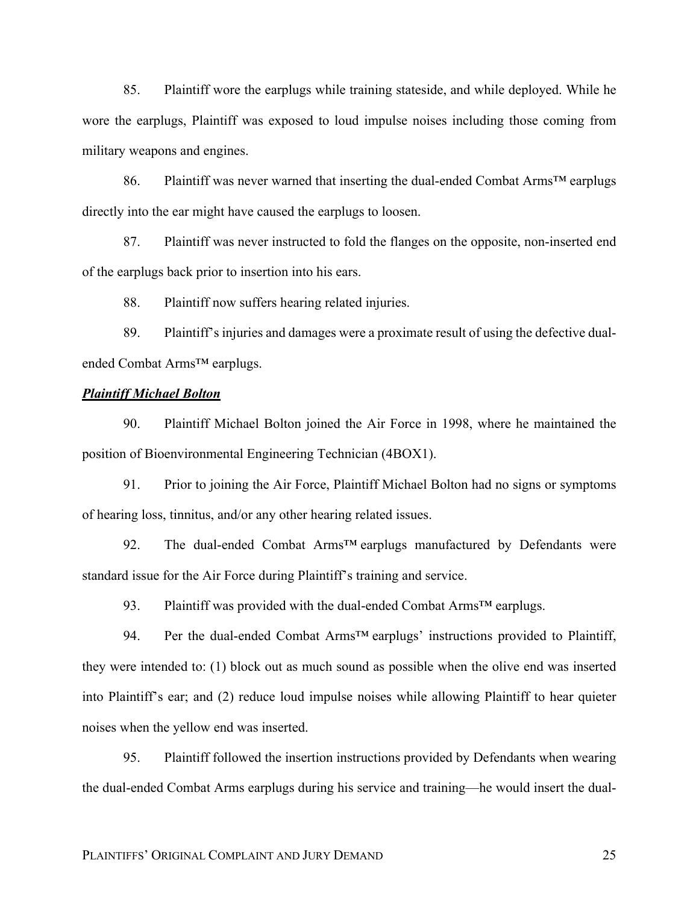85. Plaintiff wore the earplugs while training stateside, and while deployed. While he wore the earplugs, Plaintiff was exposed to loud impulse noises including those coming from military weapons and engines.

86. Plaintiff was never warned that inserting the dual-ended Combat Arms™ earplugs directly into the ear might have caused the earplugs to loosen.

87. Plaintiff was never instructed to fold the flanges on the opposite, non-inserted end of the earplugs back prior to insertion into his ears.

88. Plaintiff now suffers hearing related injuries.

89. Plaintiff's injuries and damages were a proximate result of using the defective dualended Combat Arms™ earplugs.

## *Plaintiff Michael Bolton*

90. Plaintiff Michael Bolton joined the Air Force in 1998, where he maintained the position of Bioenvironmental Engineering Technician (4BOX1).

91. Prior to joining the Air Force, Plaintiff Michael Bolton had no signs or symptoms of hearing loss, tinnitus, and/or any other hearing related issues.

92. The dual-ended Combat Arms<sup>™</sup> earplugs manufactured by Defendants were standard issue for the Air Force during Plaintiff's training and service.

93. Plaintiff was provided with the dual-ended Combat Arms<sup>TM</sup> earplugs.

94. Per the dual-ended Combat Arms<sup>™</sup> earplugs' instructions provided to Plaintiff, they were intended to: (1) block out as much sound as possible when the olive end was inserted into Plaintiff's ear; and (2) reduce loud impulse noises while allowing Plaintiff to hear quieter noises when the yellow end was inserted.

95. Plaintiff followed the insertion instructions provided by Defendants when wearing the dual-ended Combat Arms earplugs during his service and training—he would insert the dual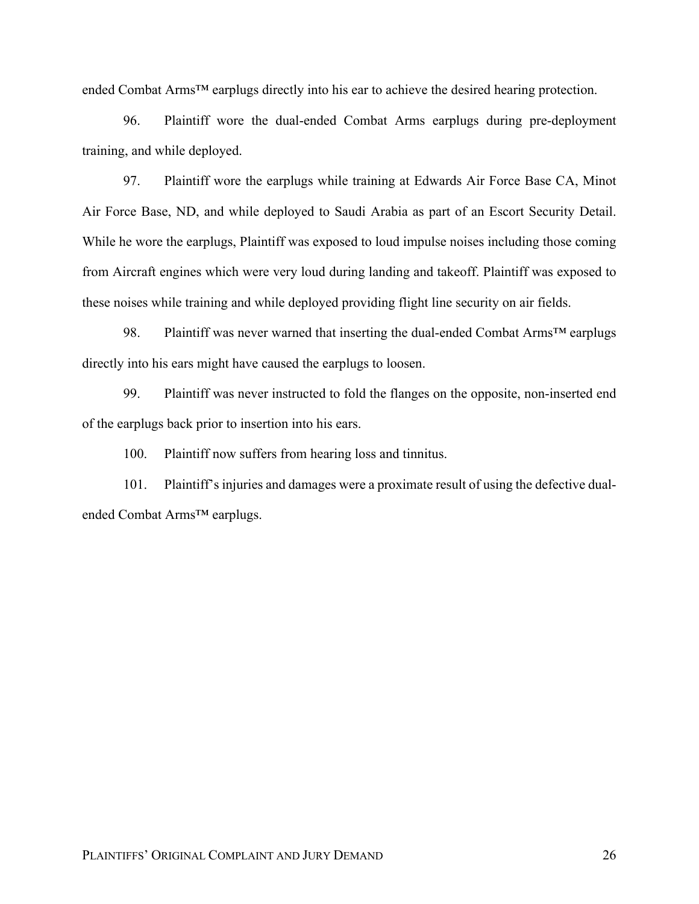ended Combat Arms™ earplugs directly into his ear to achieve the desired hearing protection.

96. Plaintiff wore the dual-ended Combat Arms earplugs during pre-deployment training, and while deployed.

97. Plaintiff wore the earplugs while training at Edwards Air Force Base CA, Minot Air Force Base, ND, and while deployed to Saudi Arabia as part of an Escort Security Detail. While he wore the earplugs, Plaintiff was exposed to loud impulse noises including those coming from Aircraft engines which were very loud during landing and takeoff. Plaintiff was exposed to these noises while training and while deployed providing flight line security on air fields.

98. Plaintiff was never warned that inserting the dual-ended Combat Arms<sup>™</sup> earplugs directly into his ears might have caused the earplugs to loosen.

99. Plaintiff was never instructed to fold the flanges on the opposite, non-inserted end of the earplugs back prior to insertion into his ears.

100. Plaintiff now suffers from hearing loss and tinnitus.

101. Plaintiff's injuries and damages were a proximate result of using the defective dualended Combat Arms™ earplugs.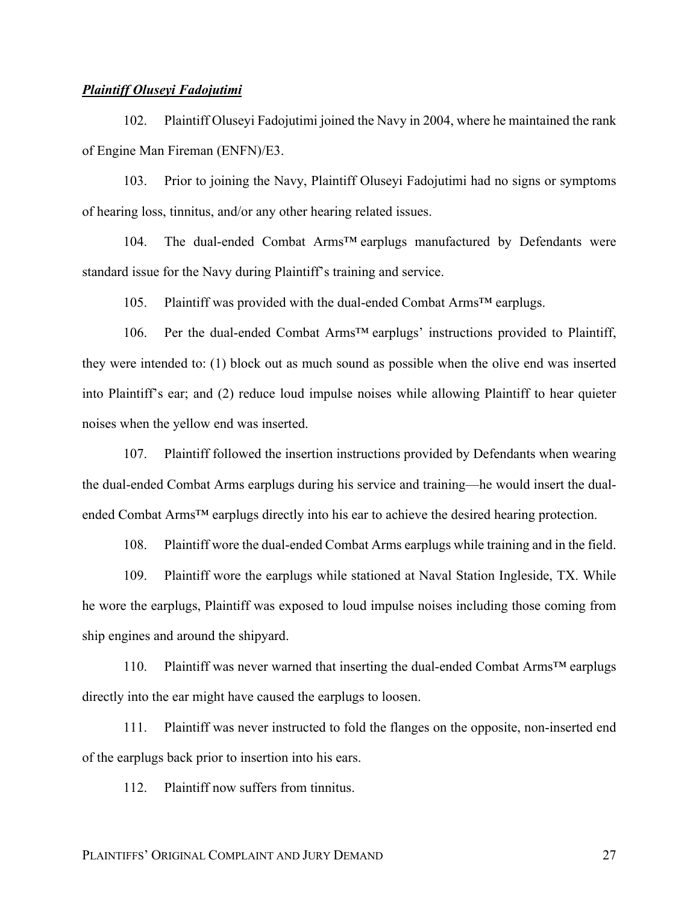### *Plaintiff Oluseyi Fadojutimi*

102. Plaintiff Oluseyi Fadojutimi joined the Navy in 2004, where he maintained the rank of Engine Man Fireman (ENFN)/E3.

103. Prior to joining the Navy, Plaintiff Oluseyi Fadojutimi had no signs or symptoms of hearing loss, tinnitus, and/or any other hearing related issues.

104. The dual-ended Combat Arms™ earplugs manufactured by Defendants were standard issue for the Navy during Plaintiff's training and service.

105. Plaintiff was provided with the dual-ended Combat Arms™ earplugs.

106. Per the dual-ended Combat Arms™ earplugs' instructions provided to Plaintiff, they were intended to: (1) block out as much sound as possible when the olive end was inserted into Plaintiff's ear; and (2) reduce loud impulse noises while allowing Plaintiff to hear quieter noises when the yellow end was inserted.

107. Plaintiff followed the insertion instructions provided by Defendants when wearing the dual-ended Combat Arms earplugs during his service and training—he would insert the dualended Combat Arms<sup>™</sup> earplugs directly into his ear to achieve the desired hearing protection.

108. Plaintiff wore the dual-ended Combat Arms earplugs while training and in the field.

109. Plaintiff wore the earplugs while stationed at Naval Station Ingleside, TX. While he wore the earplugs, Plaintiff was exposed to loud impulse noises including those coming from ship engines and around the shipyard.

110. Plaintiff was never warned that inserting the dual-ended Combat Arms™ earplugs directly into the ear might have caused the earplugs to loosen.

111. Plaintiff was never instructed to fold the flanges on the opposite, non-inserted end of the earplugs back prior to insertion into his ears.

112. Plaintiff now suffers from tinnitus.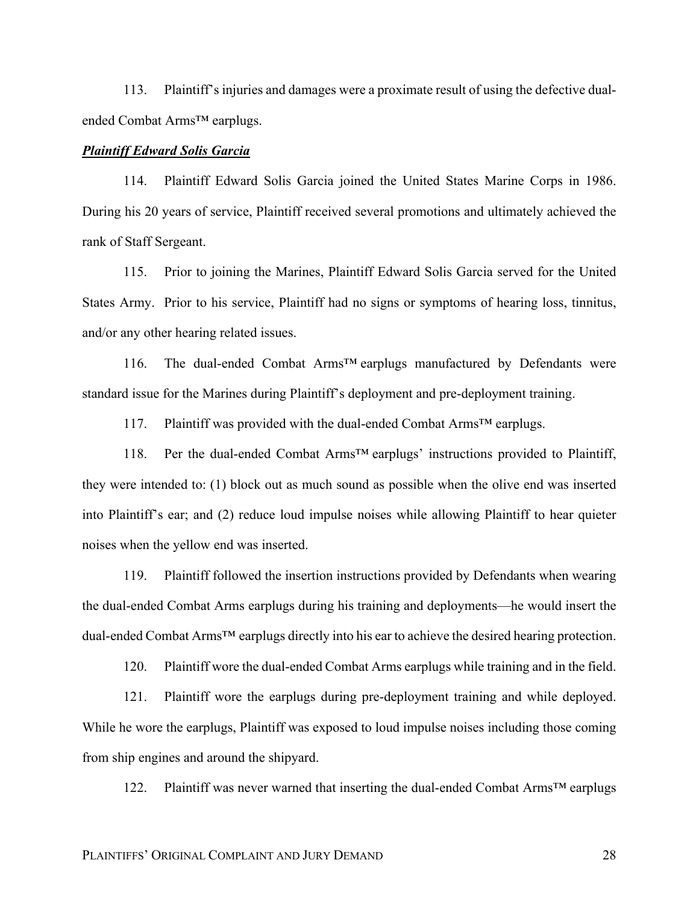113. Plaintiff's injuries and damages were a proximate result of using the defective dualended Combat Arms™ earplugs.

## *Plaintiff Edward Solis Garcia*

114. Plaintiff Edward Solis Garcia joined the United States Marine Corps in 1986. During his 20 years of service, Plaintiff received several promotions and ultimately achieved the rank of Staff Sergeant.

115. Prior to joining the Marines, Plaintiff Edward Solis Garcia served for the United States Army. Prior to his service, Plaintiff had no signs or symptoms of hearing loss, tinnitus, and/or any other hearing related issues.

116. The dual-ended Combat Arms™ earplugs manufactured by Defendants were standard issue for the Marines during Plaintiff's deployment and pre-deployment training.

117. Plaintiff was provided with the dual-ended Combat Arms™ earplugs.

118. Per the dual-ended Combat Arms™ earplugs' instructions provided to Plaintiff, they were intended to: (1) block out as much sound as possible when the olive end was inserted into Plaintiff's ear; and (2) reduce loud impulse noises while allowing Plaintiff to hear quieter noises when the yellow end was inserted.

119. Plaintiff followed the insertion instructions provided by Defendants when wearing the dual-ended Combat Arms earplugs during his training and deployments—he would insert the dual-ended Combat Arms<sup>™</sup> earplugs directly into his ear to achieve the desired hearing protection.

120. Plaintiff wore the dual-ended Combat Arms earplugs while training and in the field.

121. Plaintiff wore the earplugs during pre-deployment training and while deployed. While he wore the earplugs, Plaintiff was exposed to loud impulse noises including those coming from ship engines and around the shipyard.

122. Plaintiff was never warned that inserting the dual-ended Combat Arms™ earplugs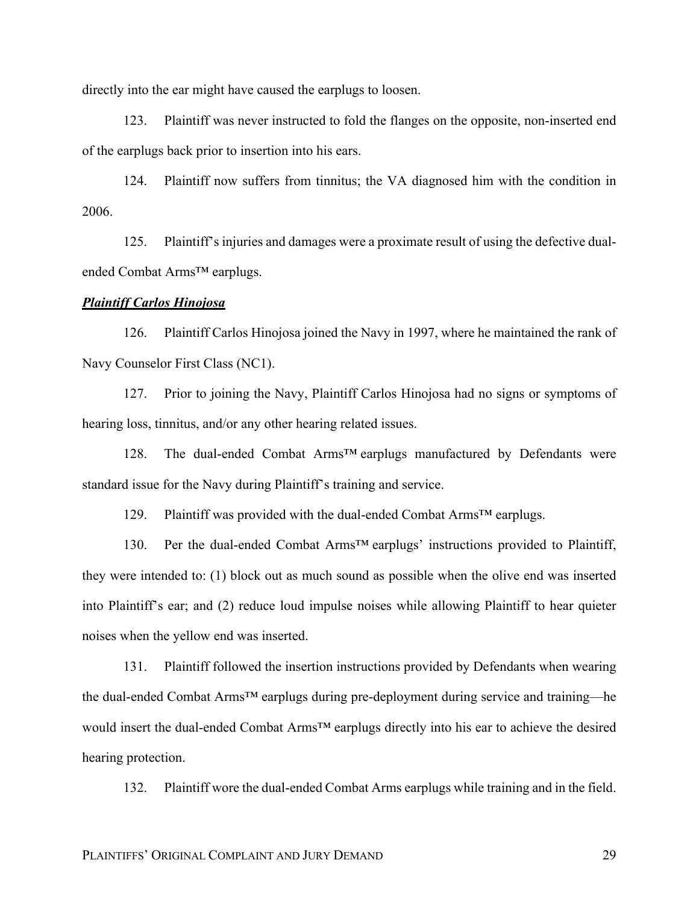directly into the ear might have caused the earplugs to loosen.

123. Plaintiff was never instructed to fold the flanges on the opposite, non-inserted end of the earplugs back prior to insertion into his ears.

124. Plaintiff now suffers from tinnitus; the VA diagnosed him with the condition in 2006.

125. Plaintiff's injuries and damages were a proximate result of using the defective dualended Combat Arms™ earplugs.

## *Plaintiff Carlos Hinojosa*

126. Plaintiff Carlos Hinojosa joined the Navy in 1997, where he maintained the rank of Navy Counselor First Class (NC1).

127. Prior to joining the Navy, Plaintiff Carlos Hinojosa had no signs or symptoms of hearing loss, tinnitus, and/or any other hearing related issues.

128. The dual-ended Combat Arms™ earplugs manufactured by Defendants were standard issue for the Navy during Plaintiff's training and service.

129. Plaintiff was provided with the dual-ended Combat Arms™ earplugs.

130. Per the dual-ended Combat Arms™ earplugs' instructions provided to Plaintiff, they were intended to: (1) block out as much sound as possible when the olive end was inserted into Plaintiff's ear; and (2) reduce loud impulse noises while allowing Plaintiff to hear quieter noises when the yellow end was inserted.

131. Plaintiff followed the insertion instructions provided by Defendants when wearing the dual-ended Combat Arms™ earplugs during pre-deployment during service and training—he would insert the dual-ended Combat Arms™ earplugs directly into his ear to achieve the desired hearing protection.

132. Plaintiff wore the dual-ended Combat Arms earplugs while training and in the field.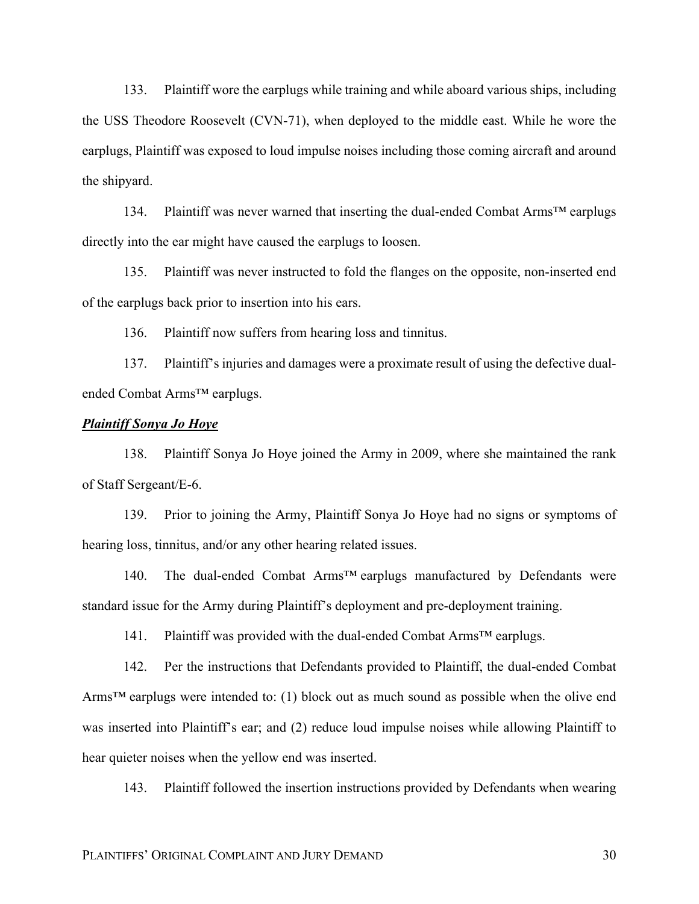133. Plaintiff wore the earplugs while training and while aboard various ships, including the USS Theodore Roosevelt (CVN-71), when deployed to the middle east. While he wore the earplugs, Plaintiff was exposed to loud impulse noises including those coming aircraft and around the shipyard.

134. Plaintiff was never warned that inserting the dual-ended Combat Arms™ earplugs directly into the ear might have caused the earplugs to loosen.

135. Plaintiff was never instructed to fold the flanges on the opposite, non-inserted end of the earplugs back prior to insertion into his ears.

136. Plaintiff now suffers from hearing loss and tinnitus.

137. Plaintiff's injuries and damages were a proximate result of using the defective dualended Combat Arms™ earplugs.

# *Plaintiff Sonya Jo Hoye*

138. Plaintiff Sonya Jo Hoye joined the Army in 2009, where she maintained the rank of Staff Sergeant/E-6.

139. Prior to joining the Army, Plaintiff Sonya Jo Hoye had no signs or symptoms of hearing loss, tinnitus, and/or any other hearing related issues.

140. The dual-ended Combat Arms™ earplugs manufactured by Defendants were standard issue for the Army during Plaintiff's deployment and pre-deployment training.

141. Plaintiff was provided with the dual-ended Combat Arms™ earplugs.

142. Per the instructions that Defendants provided to Plaintiff, the dual-ended Combat Arms<sup>TM</sup> earplugs were intended to: (1) block out as much sound as possible when the olive end was inserted into Plaintiff's ear; and (2) reduce loud impulse noises while allowing Plaintiff to hear quieter noises when the yellow end was inserted.

143. Plaintiff followed the insertion instructions provided by Defendants when wearing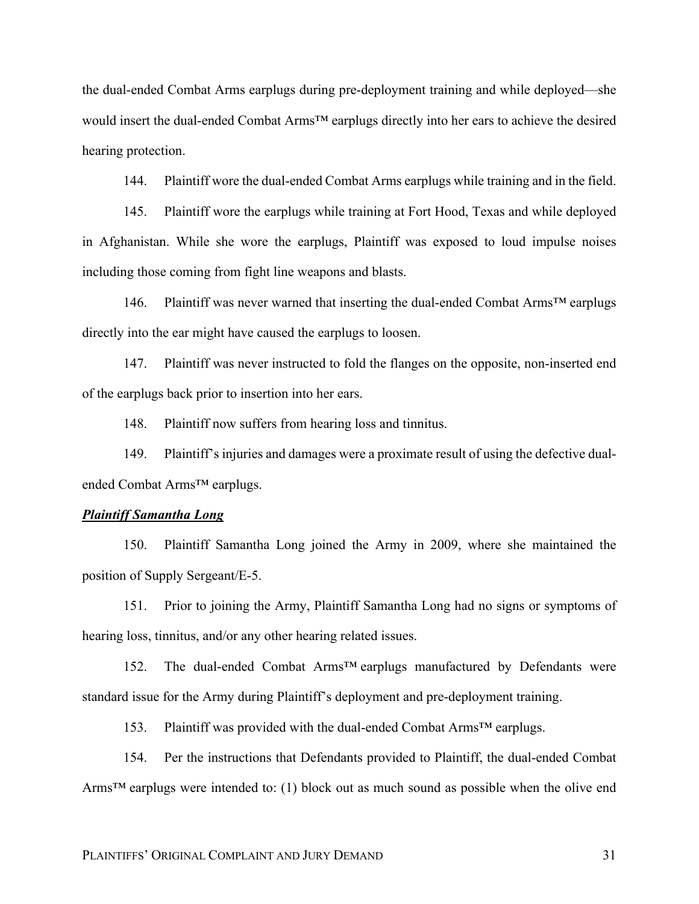the dual-ended Combat Arms earplugs during pre-deployment training and while deployed—she would insert the dual-ended Combat Arms™ earplugs directly into her ears to achieve the desired hearing protection.

144. Plaintiff wore the dual-ended Combat Arms earplugs while training and in the field.

145. Plaintiff wore the earplugs while training at Fort Hood, Texas and while deployed in Afghanistan. While she wore the earplugs, Plaintiff was exposed to loud impulse noises including those coming from fight line weapons and blasts.

146. Plaintiff was never warned that inserting the dual-ended Combat Arms™ earplugs directly into the ear might have caused the earplugs to loosen.

147. Plaintiff was never instructed to fold the flanges on the opposite, non-inserted end of the earplugs back prior to insertion into her ears.

148. Plaintiff now suffers from hearing loss and tinnitus.

149. Plaintiff's injuries and damages were a proximate result of using the defective dualended Combat Arms™ earplugs.

# *Plaintiff Samantha Long*

150. Plaintiff Samantha Long joined the Army in 2009, where she maintained the position of Supply Sergeant/E-5.

151. Prior to joining the Army, Plaintiff Samantha Long had no signs or symptoms of hearing loss, tinnitus, and/or any other hearing related issues.

152. The dual-ended Combat Arms™ earplugs manufactured by Defendants were standard issue for the Army during Plaintiff's deployment and pre-deployment training.

153. Plaintiff was provided with the dual-ended Combat Arms™ earplugs.

154. Per the instructions that Defendants provided to Plaintiff, the dual-ended Combat Arms<sup>TM</sup> earplugs were intended to: (1) block out as much sound as possible when the olive end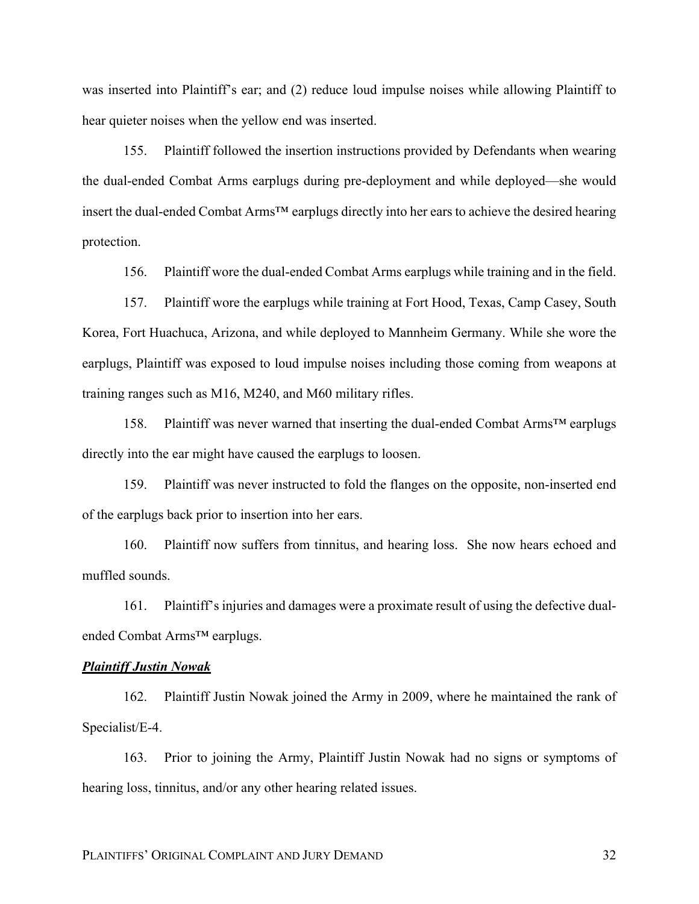was inserted into Plaintiff's ear; and (2) reduce loud impulse noises while allowing Plaintiff to hear quieter noises when the yellow end was inserted.

155. Plaintiff followed the insertion instructions provided by Defendants when wearing the dual-ended Combat Arms earplugs during pre-deployment and while deployed—she would insert the dual-ended Combat Arms™ earplugs directly into her ears to achieve the desired hearing protection.

156. Plaintiff wore the dual-ended Combat Arms earplugs while training and in the field.

157. Plaintiff wore the earplugs while training at Fort Hood, Texas, Camp Casey, South Korea, Fort Huachuca, Arizona, and while deployed to Mannheim Germany. While she wore the earplugs, Plaintiff was exposed to loud impulse noises including those coming from weapons at training ranges such as M16, M240, and M60 military rifles.

158. Plaintiff was never warned that inserting the dual-ended Combat Arms™ earplugs directly into the ear might have caused the earplugs to loosen.

159. Plaintiff was never instructed to fold the flanges on the opposite, non-inserted end of the earplugs back prior to insertion into her ears.

160. Plaintiff now suffers from tinnitus, and hearing loss. She now hears echoed and muffled sounds.

161. Plaintiff's injuries and damages were a proximate result of using the defective dualended Combat Arms™ earplugs.

### *Plaintiff Justin Nowak*

162. Plaintiff Justin Nowak joined the Army in 2009, where he maintained the rank of Specialist/E-4.

163. Prior to joining the Army, Plaintiff Justin Nowak had no signs or symptoms of hearing loss, tinnitus, and/or any other hearing related issues.

PLAINTIFFS' ORIGINAL COMPLAINT AND JURY DEMAND 32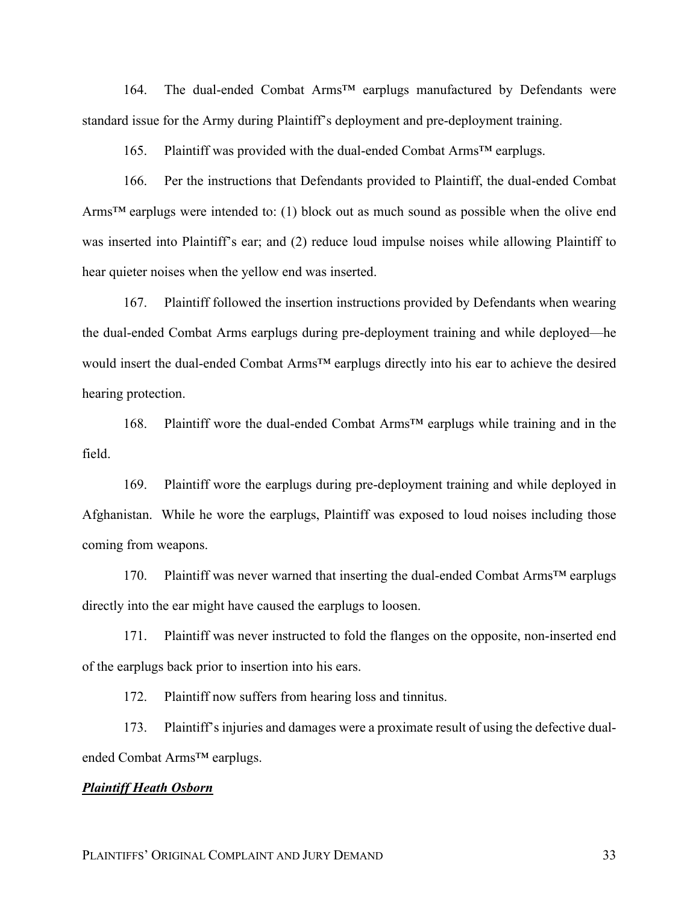164. The dual-ended Combat Arms™ earplugs manufactured by Defendants were standard issue for the Army during Plaintiff's deployment and pre-deployment training.

165. Plaintiff was provided with the dual-ended Combat Arms™ earplugs.

166. Per the instructions that Defendants provided to Plaintiff, the dual-ended Combat Arms<sup>TM</sup> earplugs were intended to: (1) block out as much sound as possible when the olive end was inserted into Plaintiff's ear; and (2) reduce loud impulse noises while allowing Plaintiff to hear quieter noises when the yellow end was inserted.

167. Plaintiff followed the insertion instructions provided by Defendants when wearing the dual-ended Combat Arms earplugs during pre-deployment training and while deployed—he would insert the dual-ended Combat Arms™ earplugs directly into his ear to achieve the desired hearing protection.

168. Plaintiff wore the dual-ended Combat Arms™ earplugs while training and in the field.

169. Plaintiff wore the earplugs during pre-deployment training and while deployed in Afghanistan. While he wore the earplugs, Plaintiff was exposed to loud noises including those coming from weapons.

170. Plaintiff was never warned that inserting the dual-ended Combat Arms™ earplugs directly into the ear might have caused the earplugs to loosen.

171. Plaintiff was never instructed to fold the flanges on the opposite, non-inserted end of the earplugs back prior to insertion into his ears.

172. Plaintiff now suffers from hearing loss and tinnitus.

173. Plaintiff's injuries and damages were a proximate result of using the defective dualended Combat Arms™ earplugs.

#### *Plaintiff Heath Osborn*

PLAINTIFFS' ORIGINAL COMPLAINT AND JURY DEMAND 33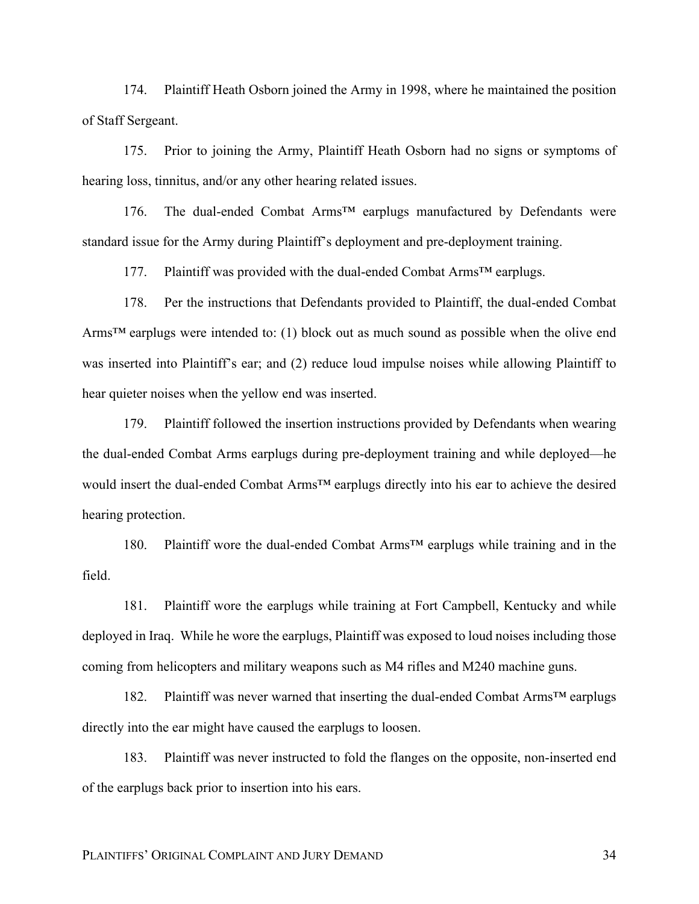174. Plaintiff Heath Osborn joined the Army in 1998, where he maintained the position of Staff Sergeant.

175. Prior to joining the Army, Plaintiff Heath Osborn had no signs or symptoms of hearing loss, tinnitus, and/or any other hearing related issues.

176. The dual-ended Combat Arms™ earplugs manufactured by Defendants were standard issue for the Army during Plaintiff's deployment and pre-deployment training.

177. Plaintiff was provided with the dual-ended Combat Arms™ earplugs.

178. Per the instructions that Defendants provided to Plaintiff, the dual-ended Combat Arms<sup>™</sup> earplugs were intended to: (1) block out as much sound as possible when the olive end was inserted into Plaintiff's ear; and (2) reduce loud impulse noises while allowing Plaintiff to hear quieter noises when the yellow end was inserted.

179. Plaintiff followed the insertion instructions provided by Defendants when wearing the dual-ended Combat Arms earplugs during pre-deployment training and while deployed—he would insert the dual-ended Combat Arms™ earplugs directly into his ear to achieve the desired hearing protection.

180. Plaintiff wore the dual-ended Combat Arms™ earplugs while training and in the field.

181. Plaintiff wore the earplugs while training at Fort Campbell, Kentucky and while deployed in Iraq. While he wore the earplugs, Plaintiff was exposed to loud noises including those coming from helicopters and military weapons such as M4 rifles and M240 machine guns.

182. Plaintiff was never warned that inserting the dual-ended Combat Arms™ earplugs directly into the ear might have caused the earplugs to loosen.

183. Plaintiff was never instructed to fold the flanges on the opposite, non-inserted end of the earplugs back prior to insertion into his ears.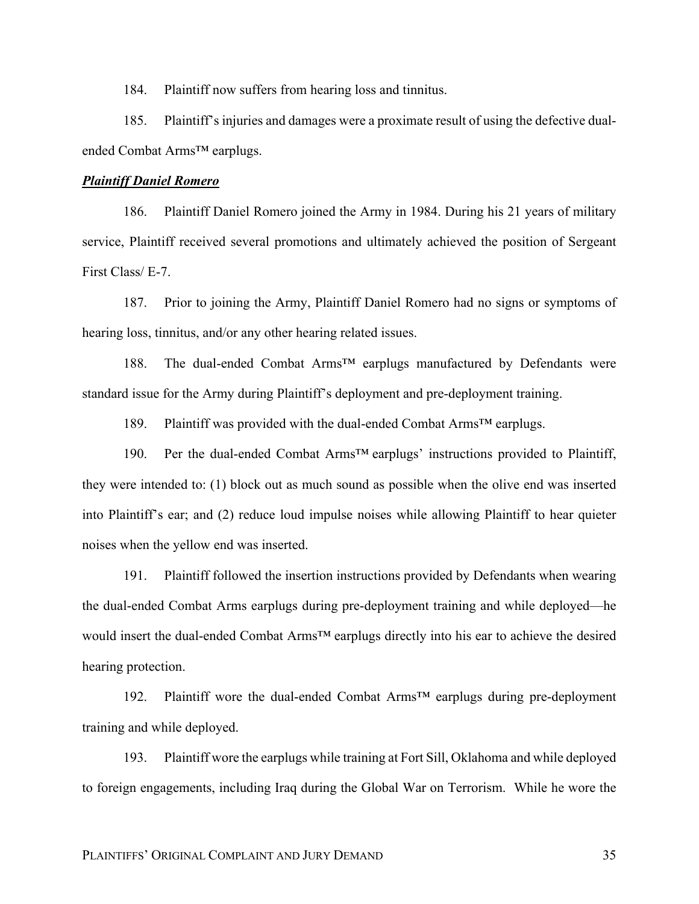184. Plaintiff now suffers from hearing loss and tinnitus.

185. Plaintiff's injuries and damages were a proximate result of using the defective dualended Combat Arms™ earplugs.

### *Plaintiff Daniel Romero*

186. Plaintiff Daniel Romero joined the Army in 1984. During his 21 years of military service, Plaintiff received several promotions and ultimately achieved the position of Sergeant First Class/ E-7.

187. Prior to joining the Army, Plaintiff Daniel Romero had no signs or symptoms of hearing loss, tinnitus, and/or any other hearing related issues.

188. The dual-ended Combat Arms™ earplugs manufactured by Defendants were standard issue for the Army during Plaintiff's deployment and pre-deployment training.

189. Plaintiff was provided with the dual-ended Combat Arms™ earplugs.

190. Per the dual-ended Combat Arms™ earplugs' instructions provided to Plaintiff, they were intended to: (1) block out as much sound as possible when the olive end was inserted into Plaintiff's ear; and (2) reduce loud impulse noises while allowing Plaintiff to hear quieter noises when the yellow end was inserted.

191. Plaintiff followed the insertion instructions provided by Defendants when wearing the dual-ended Combat Arms earplugs during pre-deployment training and while deployed—he would insert the dual-ended Combat Arms™ earplugs directly into his ear to achieve the desired hearing protection.

192. Plaintiff wore the dual-ended Combat Arms™ earplugs during pre-deployment training and while deployed.

193. Plaintiff wore the earplugs while training at Fort Sill, Oklahoma and while deployed to foreign engagements, including Iraq during the Global War on Terrorism. While he wore the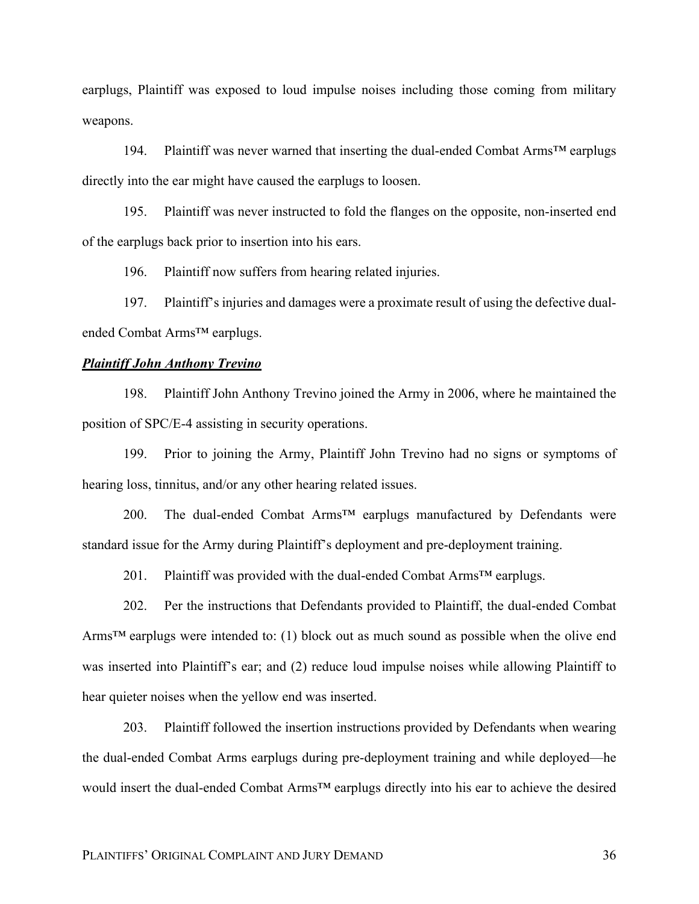earplugs, Plaintiff was exposed to loud impulse noises including those coming from military weapons.

194. Plaintiff was never warned that inserting the dual-ended Combat Arms™ earplugs directly into the ear might have caused the earplugs to loosen.

195. Plaintiff was never instructed to fold the flanges on the opposite, non-inserted end of the earplugs back prior to insertion into his ears.

196. Plaintiff now suffers from hearing related injuries.

197. Plaintiff's injuries and damages were a proximate result of using the defective dualended Combat Arms™ earplugs.

#### *Plaintiff John Anthony Trevino*

198. Plaintiff John Anthony Trevino joined the Army in 2006, where he maintained the position of SPC/E-4 assisting in security operations.

199. Prior to joining the Army, Plaintiff John Trevino had no signs or symptoms of hearing loss, tinnitus, and/or any other hearing related issues.

200. The dual-ended Combat Arms<sup>™</sup> earplugs manufactured by Defendants were standard issue for the Army during Plaintiff's deployment and pre-deployment training.

201. Plaintiff was provided with the dual-ended Combat Arms<sup>™</sup> earplugs.

202. Per the instructions that Defendants provided to Plaintiff, the dual-ended Combat Arms<sup>TM</sup> earplugs were intended to: (1) block out as much sound as possible when the olive end was inserted into Plaintiff's ear; and (2) reduce loud impulse noises while allowing Plaintiff to hear quieter noises when the yellow end was inserted.

203. Plaintiff followed the insertion instructions provided by Defendants when wearing the dual-ended Combat Arms earplugs during pre-deployment training and while deployed—he would insert the dual-ended Combat Arms™ earplugs directly into his ear to achieve the desired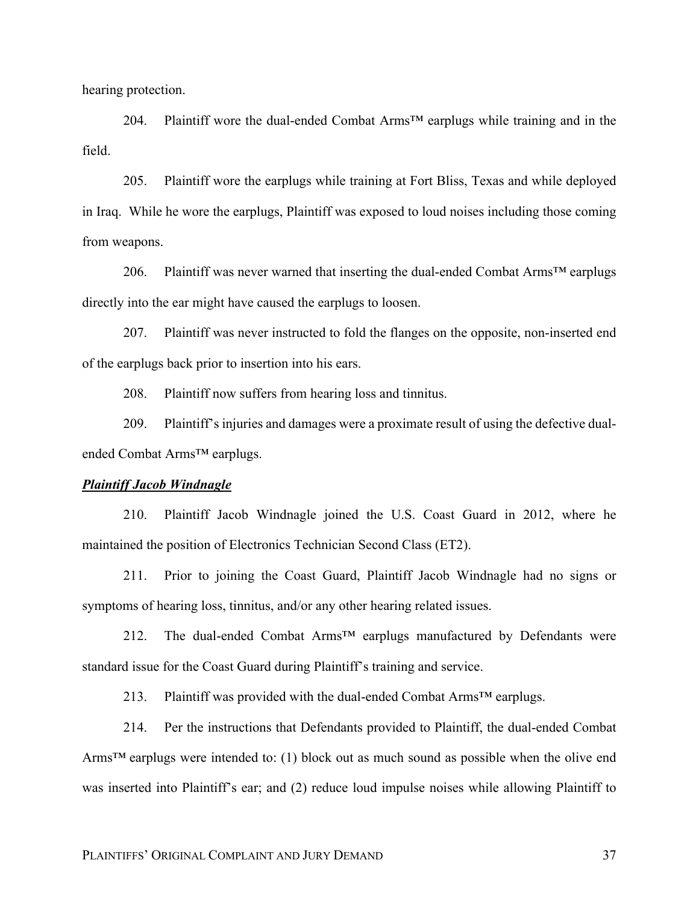hearing protection.

204. Plaintiff wore the dual-ended Combat Arms™ earplugs while training and in the field.

205. Plaintiff wore the earplugs while training at Fort Bliss, Texas and while deployed in Iraq. While he wore the earplugs, Plaintiff was exposed to loud noises including those coming from weapons.

206. Plaintiff was never warned that inserting the dual-ended Combat Arms<sup>TM</sup> earplugs directly into the ear might have caused the earplugs to loosen.

207. Plaintiff was never instructed to fold the flanges on the opposite, non-inserted end of the earplugs back prior to insertion into his ears.

208. Plaintiff now suffers from hearing loss and tinnitus.

209. Plaintiff's injuries and damages were a proximate result of using the defective dualended Combat Arms™ earplugs.

### *Plaintiff Jacob Windnagle*

210. Plaintiff Jacob Windnagle joined the U.S. Coast Guard in 2012, where he maintained the position of Electronics Technician Second Class (ET2).

211. Prior to joining the Coast Guard, Plaintiff Jacob Windnagle had no signs or symptoms of hearing loss, tinnitus, and/or any other hearing related issues.

212. The dual-ended Combat Arms<sup>™</sup> earplugs manufactured by Defendants were standard issue for the Coast Guard during Plaintiff's training and service.

213. Plaintiff was provided with the dual-ended Combat Arms™ earplugs.

214. Per the instructions that Defendants provided to Plaintiff, the dual-ended Combat Arms<sup>TM</sup> earplugs were intended to: (1) block out as much sound as possible when the olive end was inserted into Plaintiff's ear; and (2) reduce loud impulse noises while allowing Plaintiff to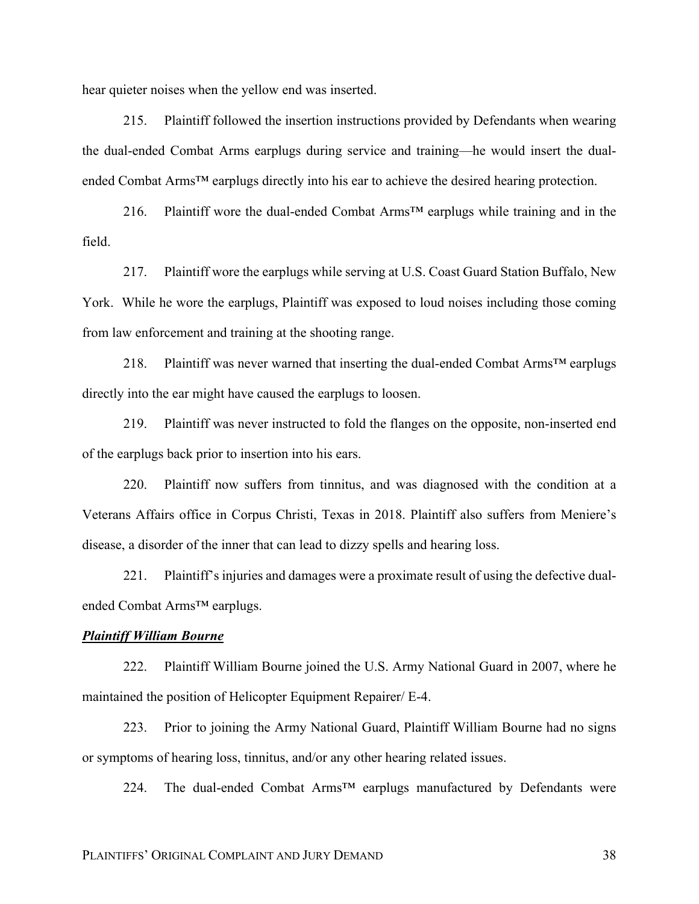hear quieter noises when the yellow end was inserted.

215. Plaintiff followed the insertion instructions provided by Defendants when wearing the dual-ended Combat Arms earplugs during service and training—he would insert the dualended Combat Arms<sup>™</sup> earplugs directly into his ear to achieve the desired hearing protection.

216. Plaintiff wore the dual-ended Combat Arms™ earplugs while training and in the field.

217. Plaintiff wore the earplugs while serving at U.S. Coast Guard Station Buffalo, New York. While he wore the earplugs, Plaintiff was exposed to loud noises including those coming from law enforcement and training at the shooting range.

218. Plaintiff was never warned that inserting the dual-ended Combat Arms™ earplugs directly into the ear might have caused the earplugs to loosen.

219. Plaintiff was never instructed to fold the flanges on the opposite, non-inserted end of the earplugs back prior to insertion into his ears.

220. Plaintiff now suffers from tinnitus, and was diagnosed with the condition at a Veterans Affairs office in Corpus Christi, Texas in 2018. Plaintiff also suffers from Meniere's disease, a disorder of the inner that can lead to dizzy spells and hearing loss.

221. Plaintiff's injuries and damages were a proximate result of using the defective dualended Combat Arms™ earplugs.

# *Plaintiff William Bourne*

222. Plaintiff William Bourne joined the U.S. Army National Guard in 2007, where he maintained the position of Helicopter Equipment Repairer/ E-4.

223. Prior to joining the Army National Guard, Plaintiff William Bourne had no signs or symptoms of hearing loss, tinnitus, and/or any other hearing related issues.

224. The dual-ended Combat Arms<sup>TM</sup> earplugs manufactured by Defendants were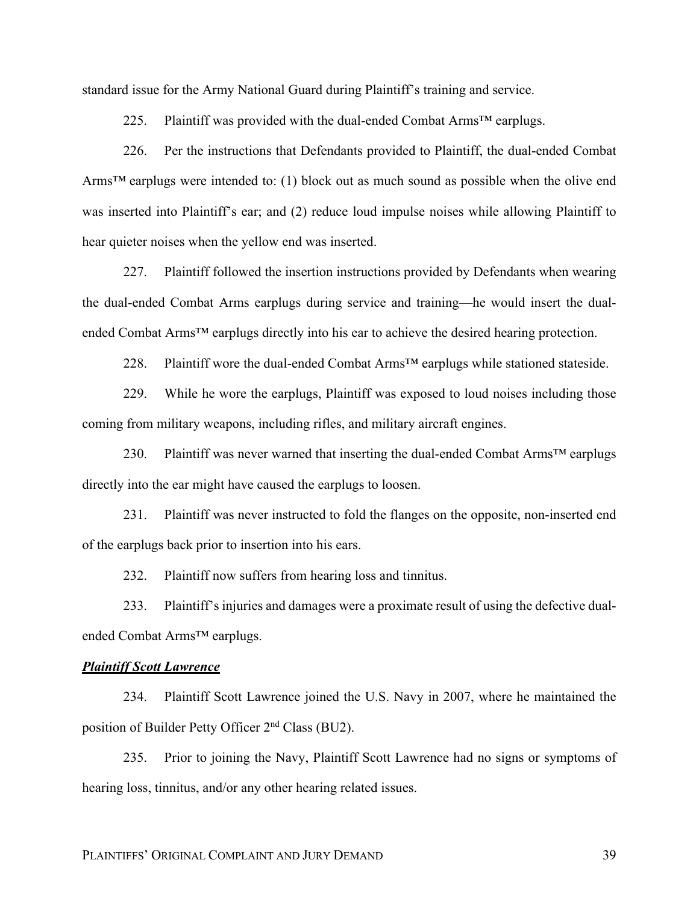standard issue for the Army National Guard during Plaintiff's training and service.

225. Plaintiff was provided with the dual-ended Combat Arms<sup>TM</sup> earplugs.

226. Per the instructions that Defendants provided to Plaintiff, the dual-ended Combat Arms<sup>TM</sup> earplugs were intended to: (1) block out as much sound as possible when the olive end was inserted into Plaintiff's ear; and (2) reduce loud impulse noises while allowing Plaintiff to hear quieter noises when the yellow end was inserted.

227. Plaintiff followed the insertion instructions provided by Defendants when wearing the dual-ended Combat Arms earplugs during service and training—he would insert the dualended Combat Arms<sup>™</sup> earplugs directly into his ear to achieve the desired hearing protection.

228. Plaintiff wore the dual-ended Combat Arms<sup>™</sup> earplugs while stationed stateside.

229. While he wore the earplugs, Plaintiff was exposed to loud noises including those coming from military weapons, including rifles, and military aircraft engines.

230. Plaintiff was never warned that inserting the dual-ended Combat Arms<sup>TM</sup> earplugs directly into the ear might have caused the earplugs to loosen.

231. Plaintiff was never instructed to fold the flanges on the opposite, non-inserted end of the earplugs back prior to insertion into his ears.

232. Plaintiff now suffers from hearing loss and tinnitus.

233. Plaintiff's injuries and damages were a proximate result of using the defective dualended Combat Arms™ earplugs.

## *Plaintiff Scott Lawrence*

234. Plaintiff Scott Lawrence joined the U.S. Navy in 2007, where he maintained the position of Builder Petty Officer 2nd Class (BU2).

235. Prior to joining the Navy, Plaintiff Scott Lawrence had no signs or symptoms of hearing loss, tinnitus, and/or any other hearing related issues.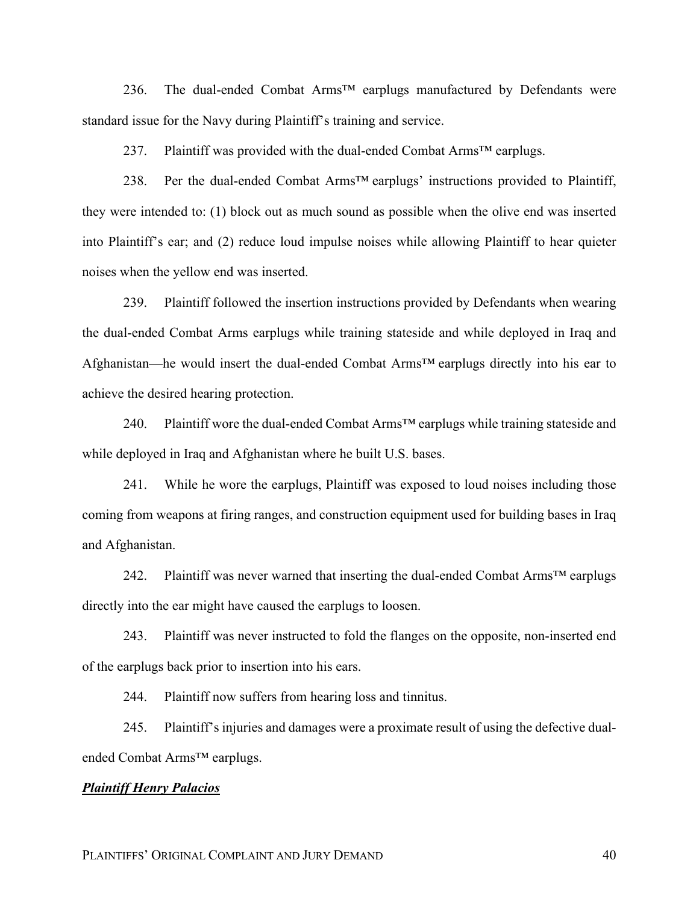236. The dual-ended Combat Arms<sup>™</sup> earplugs manufactured by Defendants were standard issue for the Navy during Plaintiff's training and service.

237. Plaintiff was provided with the dual-ended Combat Arms™ earplugs.

238. Per the dual-ended Combat Arms™ earplugs' instructions provided to Plaintiff, they were intended to: (1) block out as much sound as possible when the olive end was inserted into Plaintiff's ear; and (2) reduce loud impulse noises while allowing Plaintiff to hear quieter noises when the yellow end was inserted.

239. Plaintiff followed the insertion instructions provided by Defendants when wearing the dual-ended Combat Arms earplugs while training stateside and while deployed in Iraq and Afghanistan—he would insert the dual-ended Combat Arms™ earplugs directly into his ear to achieve the desired hearing protection.

240. Plaintiff wore the dual-ended Combat Arms<sup>TM</sup> earplugs while training stateside and while deployed in Iraq and Afghanistan where he built U.S. bases.

241. While he wore the earplugs, Plaintiff was exposed to loud noises including those coming from weapons at firing ranges, and construction equipment used for building bases in Iraq and Afghanistan.

242. Plaintiff was never warned that inserting the dual-ended Combat Arms™ earplugs directly into the ear might have caused the earplugs to loosen.

243. Plaintiff was never instructed to fold the flanges on the opposite, non-inserted end of the earplugs back prior to insertion into his ears.

244. Plaintiff now suffers from hearing loss and tinnitus.

245. Plaintiff's injuries and damages were a proximate result of using the defective dualended Combat Arms™ earplugs.

#### *Plaintiff Henry Palacios*

PLAINTIFFS' ORIGINAL COMPLAINT AND JURY DEMAND 40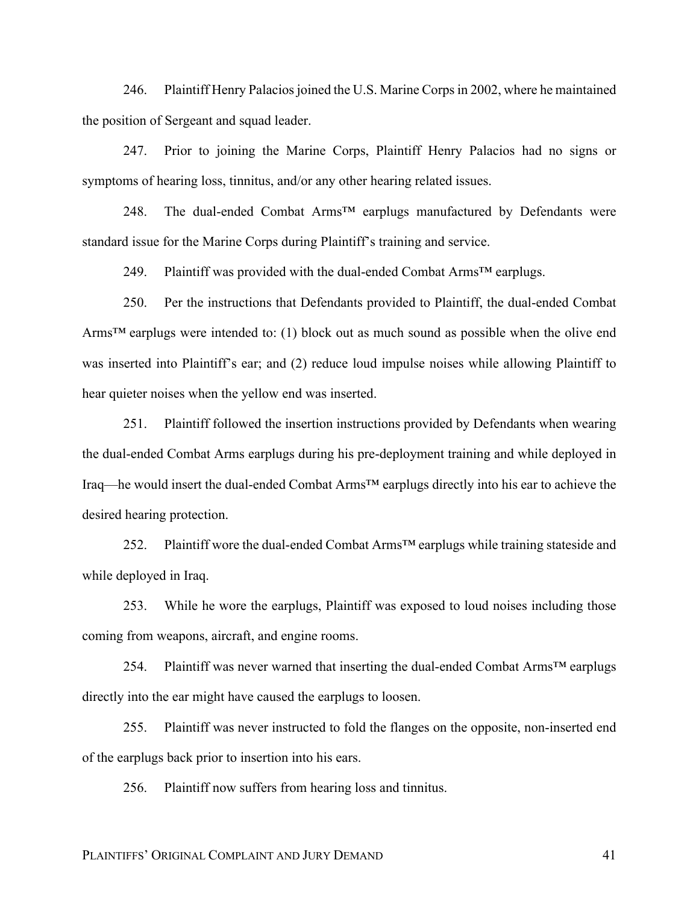246. Plaintiff Henry Palacios joined the U.S. Marine Corps in 2002, where he maintained the position of Sergeant and squad leader.

247. Prior to joining the Marine Corps, Plaintiff Henry Palacios had no signs or symptoms of hearing loss, tinnitus, and/or any other hearing related issues.

248. The dual-ended Combat Arms<sup>™</sup> earplugs manufactured by Defendants were standard issue for the Marine Corps during Plaintiff's training and service.

249. Plaintiff was provided with the dual-ended Combat Arms<sup>TM</sup> earplugs.

250. Per the instructions that Defendants provided to Plaintiff, the dual-ended Combat Arms<sup>™</sup> earplugs were intended to: (1) block out as much sound as possible when the olive end was inserted into Plaintiff's ear; and (2) reduce loud impulse noises while allowing Plaintiff to hear quieter noises when the yellow end was inserted.

251. Plaintiff followed the insertion instructions provided by Defendants when wearing the dual-ended Combat Arms earplugs during his pre-deployment training and while deployed in Iraq—he would insert the dual-ended Combat Arms™ earplugs directly into his ear to achieve the desired hearing protection.

252. Plaintiff wore the dual-ended Combat Arms<sup>™</sup> earplugs while training stateside and while deployed in Iraq.

253. While he wore the earplugs, Plaintiff was exposed to loud noises including those coming from weapons, aircraft, and engine rooms.

254. Plaintiff was never warned that inserting the dual-ended Combat Arms™ earplugs directly into the ear might have caused the earplugs to loosen.

255. Plaintiff was never instructed to fold the flanges on the opposite, non-inserted end of the earplugs back prior to insertion into his ears.

256. Plaintiff now suffers from hearing loss and tinnitus.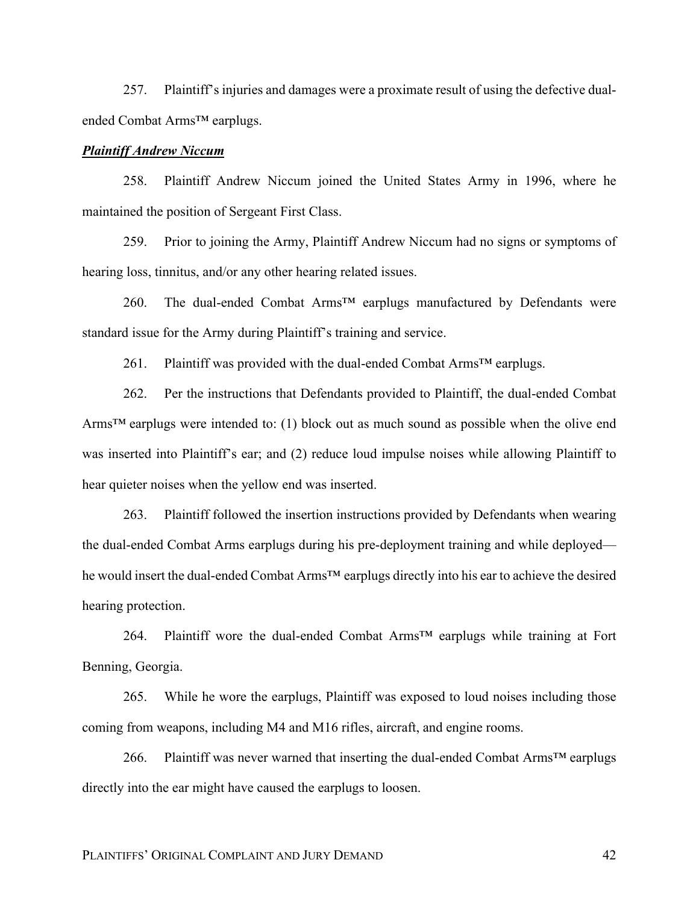257. Plaintiff's injuries and damages were a proximate result of using the defective dualended Combat Arms™ earplugs.

## *Plaintiff Andrew Niccum*

258. Plaintiff Andrew Niccum joined the United States Army in 1996, where he maintained the position of Sergeant First Class.

259. Prior to joining the Army, Plaintiff Andrew Niccum had no signs or symptoms of hearing loss, tinnitus, and/or any other hearing related issues.

260. The dual-ended Combat Arms<sup>TM</sup> earplugs manufactured by Defendants were standard issue for the Army during Plaintiff's training and service.

261. Plaintiff was provided with the dual-ended Combat Arms<sup>TM</sup> earplugs.

262. Per the instructions that Defendants provided to Plaintiff, the dual-ended Combat Arms<sup>TM</sup> earplugs were intended to: (1) block out as much sound as possible when the olive end was inserted into Plaintiff's ear; and (2) reduce loud impulse noises while allowing Plaintiff to hear quieter noises when the yellow end was inserted.

263. Plaintiff followed the insertion instructions provided by Defendants when wearing the dual-ended Combat Arms earplugs during his pre-deployment training and while deployed he would insert the dual-ended Combat Arms<sup>™</sup> earplugs directly into his ear to achieve the desired hearing protection.

264. Plaintiff wore the dual-ended Combat Arms™ earplugs while training at Fort Benning, Georgia.

265. While he wore the earplugs, Plaintiff was exposed to loud noises including those coming from weapons, including M4 and M16 rifles, aircraft, and engine rooms.

266. Plaintiff was never warned that inserting the dual-ended Combat Arms<sup>™</sup> earplugs directly into the ear might have caused the earplugs to loosen.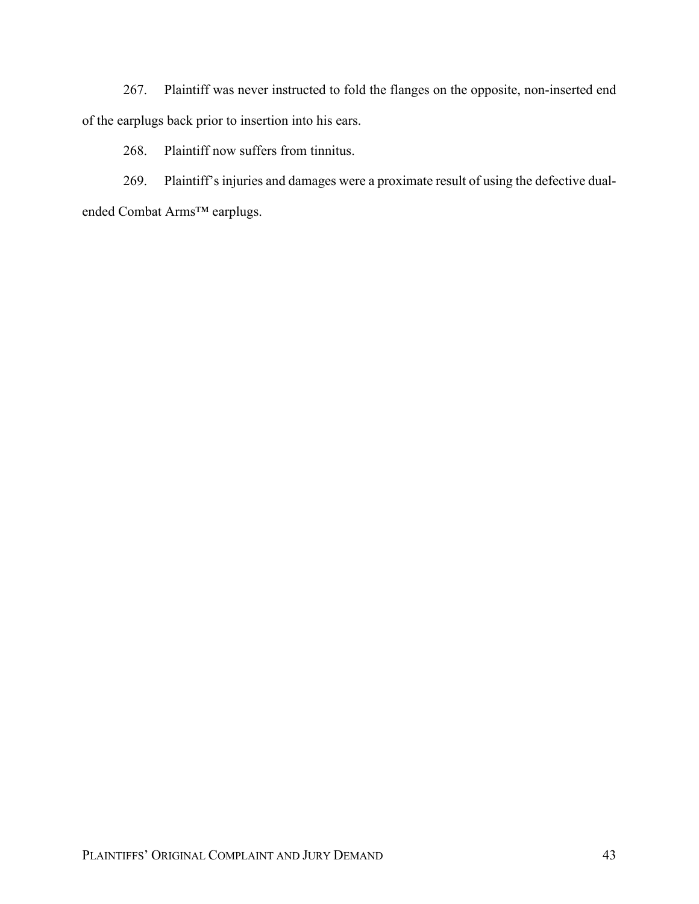267. Plaintiff was never instructed to fold the flanges on the opposite, non-inserted end of the earplugs back prior to insertion into his ears.

268. Plaintiff now suffers from tinnitus.

269. Plaintiff's injuries and damages were a proximate result of using the defective dualended Combat Arms™ earplugs.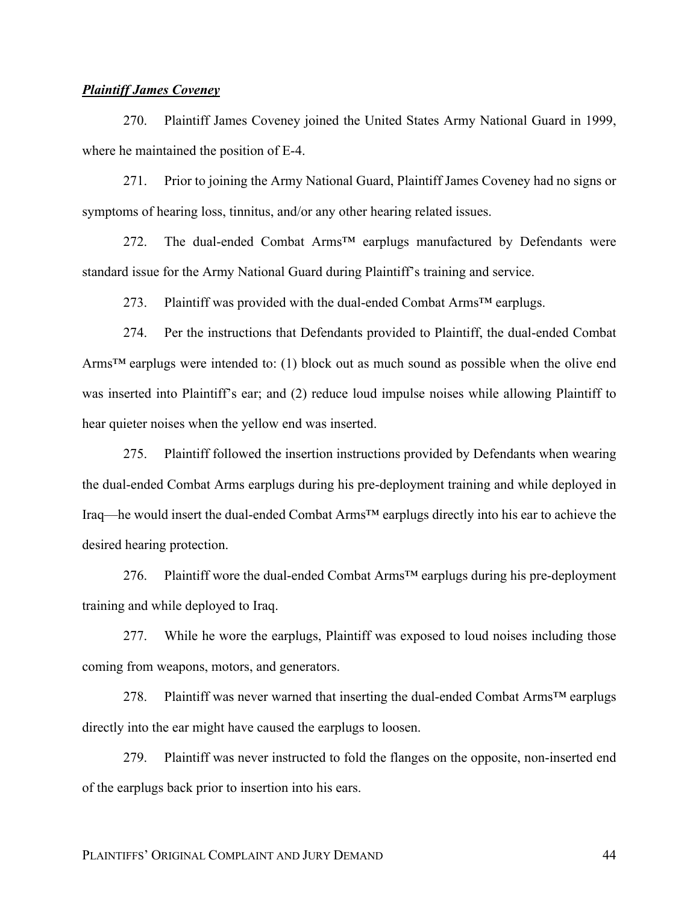# *Plaintiff James Coveney*

270. Plaintiff James Coveney joined the United States Army National Guard in 1999, where he maintained the position of E-4.

271. Prior to joining the Army National Guard, Plaintiff James Coveney had no signs or symptoms of hearing loss, tinnitus, and/or any other hearing related issues.

272. The dual-ended Combat Arms™ earplugs manufactured by Defendants were standard issue for the Army National Guard during Plaintiff's training and service.

273. Plaintiff was provided with the dual-ended Combat Arms<sup>™</sup> earplugs.

274. Per the instructions that Defendants provided to Plaintiff, the dual-ended Combat Arms<sup>TM</sup> earplugs were intended to: (1) block out as much sound as possible when the olive end was inserted into Plaintiff's ear; and (2) reduce loud impulse noises while allowing Plaintiff to hear quieter noises when the yellow end was inserted.

275. Plaintiff followed the insertion instructions provided by Defendants when wearing the dual-ended Combat Arms earplugs during his pre-deployment training and while deployed in Iraq—he would insert the dual-ended Combat Arms™ earplugs directly into his ear to achieve the desired hearing protection.

276. Plaintiff wore the dual-ended Combat Arms™ earplugs during his pre-deployment training and while deployed to Iraq.

277. While he wore the earplugs, Plaintiff was exposed to loud noises including those coming from weapons, motors, and generators.

278. Plaintiff was never warned that inserting the dual-ended Combat Arms™ earplugs directly into the ear might have caused the earplugs to loosen.

279. Plaintiff was never instructed to fold the flanges on the opposite, non-inserted end of the earplugs back prior to insertion into his ears.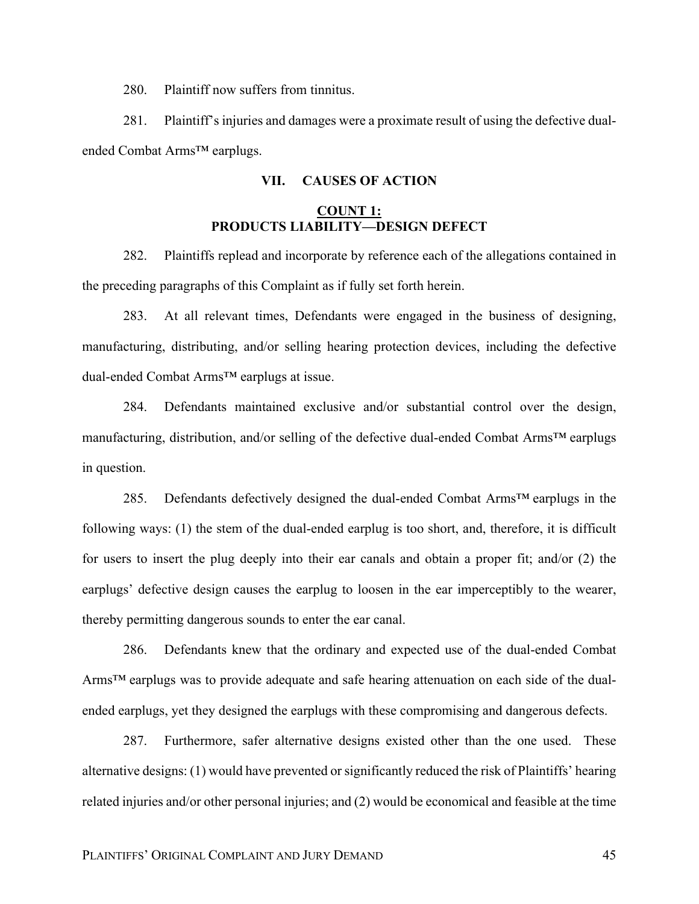280. Plaintiff now suffers from tinnitus.

281. Plaintiff's injuries and damages were a proximate result of using the defective dualended Combat Arms™ earplugs.

# **VII. CAUSES OF ACTION**

# **COUNT 1: PRODUCTS LIABILITY—DESIGN DEFECT**

282. Plaintiffs replead and incorporate by reference each of the allegations contained in the preceding paragraphs of this Complaint as if fully set forth herein.

283. At all relevant times, Defendants were engaged in the business of designing, manufacturing, distributing, and/or selling hearing protection devices, including the defective dual-ended Combat Arms™ earplugs at issue.

284. Defendants maintained exclusive and/or substantial control over the design, manufacturing, distribution, and/or selling of the defective dual-ended Combat Arms™ earplugs in question.

285. Defendants defectively designed the dual-ended Combat Arms<sup>TM</sup> earplugs in the following ways: (1) the stem of the dual-ended earplug is too short, and, therefore, it is difficult for users to insert the plug deeply into their ear canals and obtain a proper fit; and/or (2) the earplugs' defective design causes the earplug to loosen in the ear imperceptibly to the wearer, thereby permitting dangerous sounds to enter the ear canal.

286. Defendants knew that the ordinary and expected use of the dual-ended Combat Arms™ earplugs was to provide adequate and safe hearing attenuation on each side of the dualended earplugs, yet they designed the earplugs with these compromising and dangerous defects.

287. Furthermore, safer alternative designs existed other than the one used. These alternative designs: (1) would have prevented or significantly reduced the risk of Plaintiffs' hearing related injuries and/or other personal injuries; and (2) would be economical and feasible at the time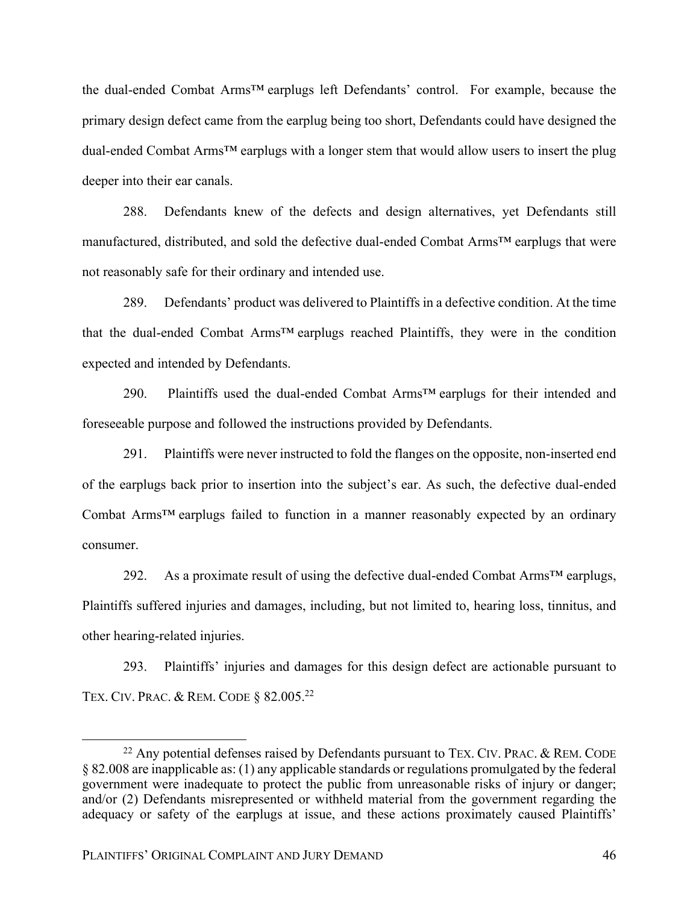the dual-ended Combat Arms™ earplugs left Defendants' control. For example, because the primary design defect came from the earplug being too short, Defendants could have designed the dual-ended Combat Arms™ earplugs with a longer stem that would allow users to insert the plug deeper into their ear canals.

288. Defendants knew of the defects and design alternatives, yet Defendants still manufactured, distributed, and sold the defective dual-ended Combat Arms™ earplugs that were not reasonably safe for their ordinary and intended use.

289. Defendants' product was delivered to Plaintiffs in a defective condition. At the time that the dual-ended Combat Arms™ earplugs reached Plaintiffs, they were in the condition expected and intended by Defendants.

290. Plaintiffs used the dual-ended Combat Arms™ earplugs for their intended and foreseeable purpose and followed the instructions provided by Defendants.

291. Plaintiffs were never instructed to fold the flanges on the opposite, non-inserted end of the earplugs back prior to insertion into the subject's ear. As such, the defective dual-ended Combat Arms™ earplugs failed to function in a manner reasonably expected by an ordinary consumer.

292. As a proximate result of using the defective dual-ended Combat Arms™ earplugs, Plaintiffs suffered injuries and damages, including, but not limited to, hearing loss, tinnitus, and other hearing-related injuries.

293. Plaintiffs' injuries and damages for this design defect are actionable pursuant to TEX. CIV. PRAC. & REM. CODE § 82.005.22

 $^{22}$  Any potential defenses raised by Defendants pursuant to TEX. CIV. PRAC. & REM. CODE § 82.008 are inapplicable as: (1) any applicable standards or regulations promulgated by the federal government were inadequate to protect the public from unreasonable risks of injury or danger; and/or (2) Defendants misrepresented or withheld material from the government regarding the adequacy or safety of the earplugs at issue, and these actions proximately caused Plaintiffs'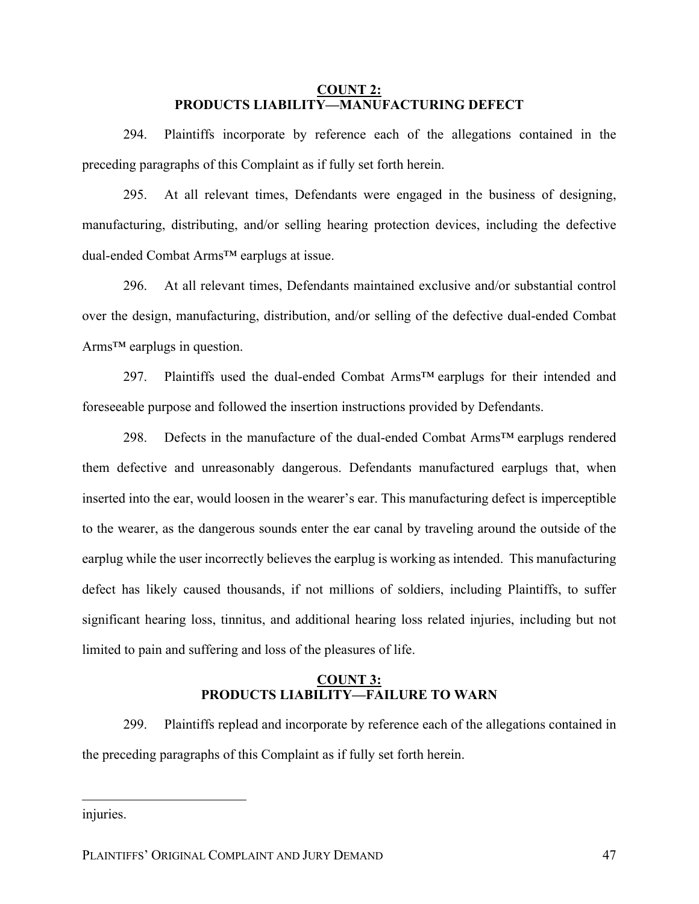## **COUNT 2: PRODUCTS LIABILITY—MANUFACTURING DEFECT**

294. Plaintiffs incorporate by reference each of the allegations contained in the preceding paragraphs of this Complaint as if fully set forth herein.

295. At all relevant times, Defendants were engaged in the business of designing, manufacturing, distributing, and/or selling hearing protection devices, including the defective dual-ended Combat Arms™ earplugs at issue.

296. At all relevant times, Defendants maintained exclusive and/or substantial control over the design, manufacturing, distribution, and/or selling of the defective dual-ended Combat Arms™ earplugs in question.

297. Plaintiffs used the dual-ended Combat Arms™ earplugs for their intended and foreseeable purpose and followed the insertion instructions provided by Defendants.

298. Defects in the manufacture of the dual-ended Combat Arms™ earplugs rendered them defective and unreasonably dangerous. Defendants manufactured earplugs that, when inserted into the ear, would loosen in the wearer's ear. This manufacturing defect is imperceptible to the wearer, as the dangerous sounds enter the ear canal by traveling around the outside of the earplug while the user incorrectly believes the earplug is working as intended. This manufacturing defect has likely caused thousands, if not millions of soldiers, including Plaintiffs, to suffer significant hearing loss, tinnitus, and additional hearing loss related injuries, including but not limited to pain and suffering and loss of the pleasures of life.

# **COUNT 3: PRODUCTS LIABILITY—FAILURE TO WARN**

299. Plaintiffs replead and incorporate by reference each of the allegations contained in the preceding paragraphs of this Complaint as if fully set forth herein.

injuries.

 $\overline{a}$ 

PLAINTIFFS' ORIGINAL COMPLAINT AND JURY DEMAND 47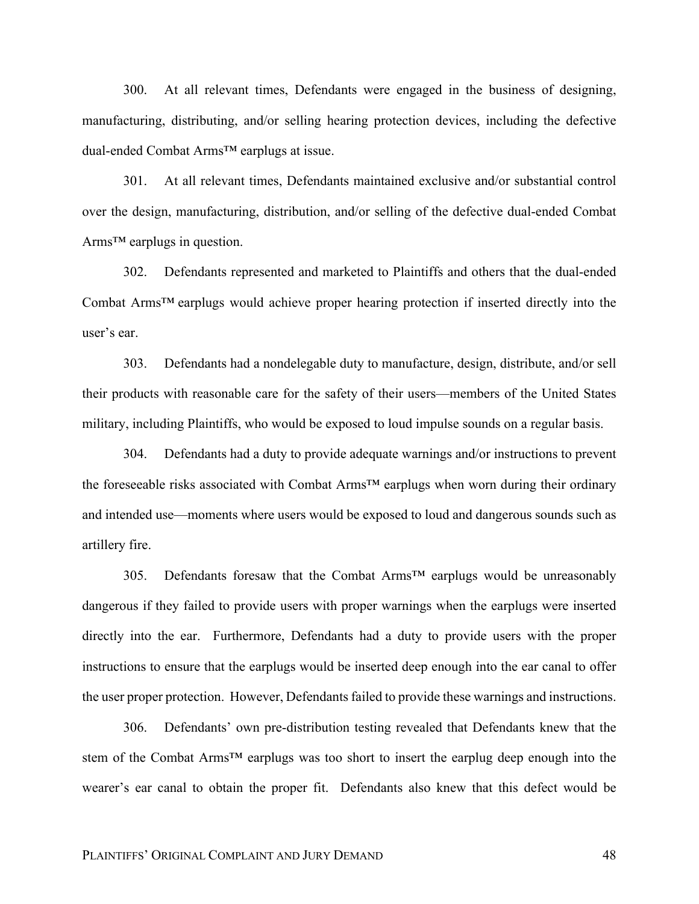300. At all relevant times, Defendants were engaged in the business of designing, manufacturing, distributing, and/or selling hearing protection devices, including the defective dual-ended Combat Arms™ earplugs at issue.

301. At all relevant times, Defendants maintained exclusive and/or substantial control over the design, manufacturing, distribution, and/or selling of the defective dual-ended Combat Arms™ earplugs in question.

302. Defendants represented and marketed to Plaintiffs and others that the dual-ended Combat Arms™ earplugs would achieve proper hearing protection if inserted directly into the user's ear.

303. Defendants had a nondelegable duty to manufacture, design, distribute, and/or sell their products with reasonable care for the safety of their users—members of the United States military, including Plaintiffs, who would be exposed to loud impulse sounds on a regular basis.

304. Defendants had a duty to provide adequate warnings and/or instructions to prevent the foreseeable risks associated with Combat Arms™ earplugs when worn during their ordinary and intended use—moments where users would be exposed to loud and dangerous sounds such as artillery fire.

305. Defendants foresaw that the Combat Arms<sup>™</sup> earplugs would be unreasonably dangerous if they failed to provide users with proper warnings when the earplugs were inserted directly into the ear. Furthermore, Defendants had a duty to provide users with the proper instructions to ensure that the earplugs would be inserted deep enough into the ear canal to offer the user proper protection. However, Defendants failed to provide these warnings and instructions.

306. Defendants' own pre-distribution testing revealed that Defendants knew that the stem of the Combat Arms<sup>™</sup> earplugs was too short to insert the earplug deep enough into the wearer's ear canal to obtain the proper fit. Defendants also knew that this defect would be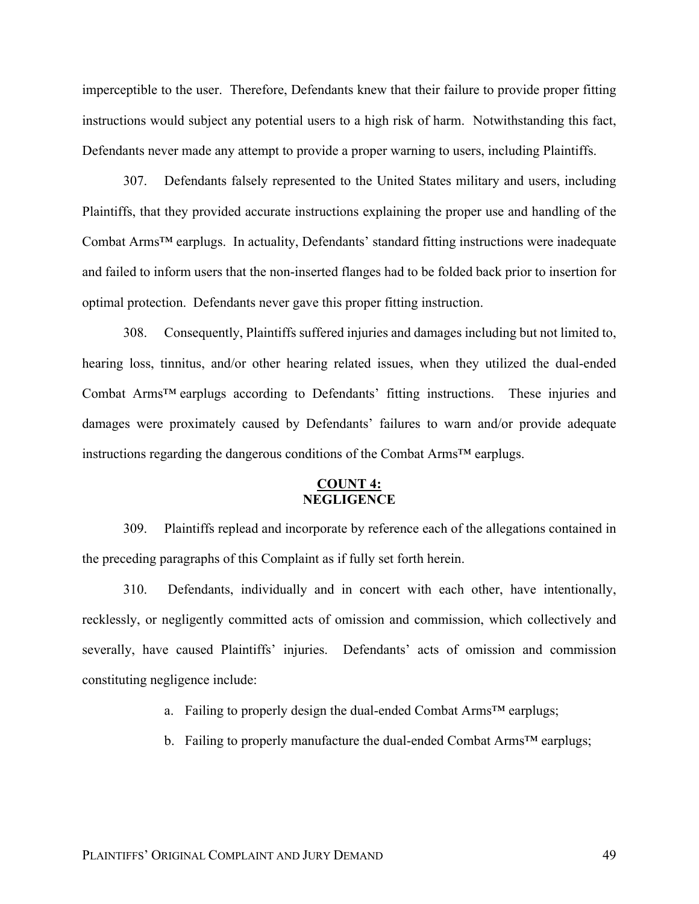imperceptible to the user. Therefore, Defendants knew that their failure to provide proper fitting instructions would subject any potential users to a high risk of harm. Notwithstanding this fact, Defendants never made any attempt to provide a proper warning to users, including Plaintiffs.

307. Defendants falsely represented to the United States military and users, including Plaintiffs, that they provided accurate instructions explaining the proper use and handling of the Combat Arms™ earplugs. In actuality, Defendants' standard fitting instructions were inadequate and failed to inform users that the non-inserted flanges had to be folded back prior to insertion for optimal protection. Defendants never gave this proper fitting instruction.

308. Consequently, Plaintiffs suffered injuries and damages including but not limited to, hearing loss, tinnitus, and/or other hearing related issues, when they utilized the dual-ended Combat Arms™ earplugs according to Defendants' fitting instructions. These injuries and damages were proximately caused by Defendants' failures to warn and/or provide adequate instructions regarding the dangerous conditions of the Combat Arms™ earplugs.

# **COUNT 4: NEGLIGENCE**

309. Plaintiffs replead and incorporate by reference each of the allegations contained in the preceding paragraphs of this Complaint as if fully set forth herein.

310. Defendants, individually and in concert with each other, have intentionally, recklessly, or negligently committed acts of omission and commission, which collectively and severally, have caused Plaintiffs' injuries. Defendants' acts of omission and commission constituting negligence include:

a. Failing to properly design the dual-ended Combat Arms™ earplugs;

b. Failing to properly manufacture the dual-ended Combat Arms<sup>TM</sup> earplugs;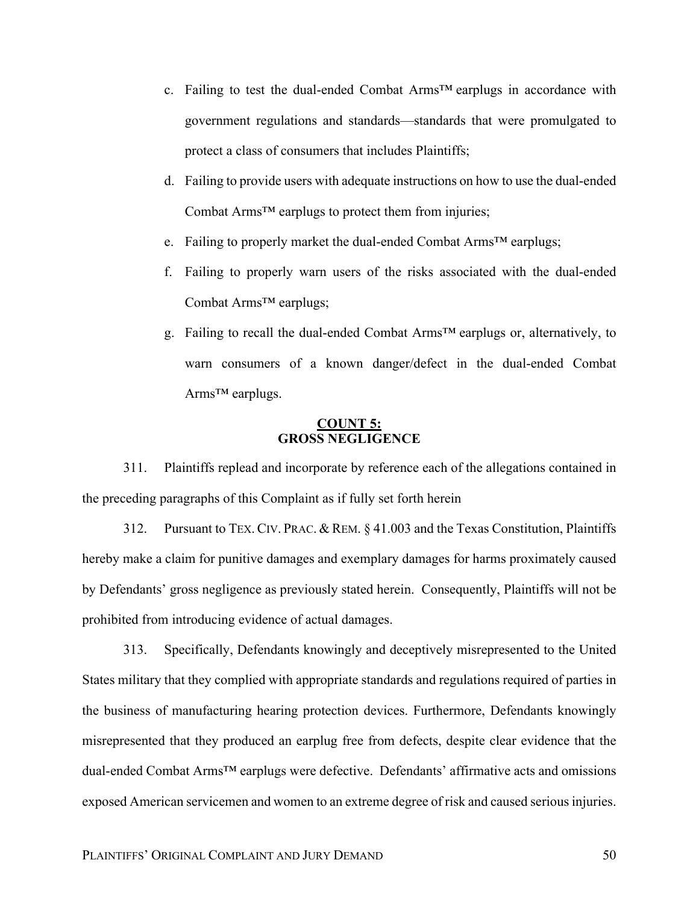- c. Failing to test the dual-ended Combat Arms™ earplugs in accordance with government regulations and standards—standards that were promulgated to protect a class of consumers that includes Plaintiffs;
- d. Failing to provide users with adequate instructions on how to use the dual-ended Combat Arms™ earplugs to protect them from injuries;
- e. Failing to properly market the dual-ended Combat Arms™ earplugs;
- f. Failing to properly warn users of the risks associated with the dual-ended Combat Arms™ earplugs;
- g. Failing to recall the dual-ended Combat Arms™ earplugs or, alternatively, to warn consumers of a known danger/defect in the dual-ended Combat Arms™ earplugs.

# **COUNT 5: GROSS NEGLIGENCE**

311. Plaintiffs replead and incorporate by reference each of the allegations contained in the preceding paragraphs of this Complaint as if fully set forth herein

312. Pursuant to TEX. CIV. PRAC. & REM. § 41.003 and the Texas Constitution, Plaintiffs hereby make a claim for punitive damages and exemplary damages for harms proximately caused by Defendants' gross negligence as previously stated herein. Consequently, Plaintiffs will not be prohibited from introducing evidence of actual damages.

313. Specifically, Defendants knowingly and deceptively misrepresented to the United States military that they complied with appropriate standards and regulations required of parties in the business of manufacturing hearing protection devices. Furthermore, Defendants knowingly misrepresented that they produced an earplug free from defects, despite clear evidence that the dual-ended Combat Arms™ earplugs were defective. Defendants' affirmative acts and omissions exposed American servicemen and women to an extreme degree of risk and caused serious injuries.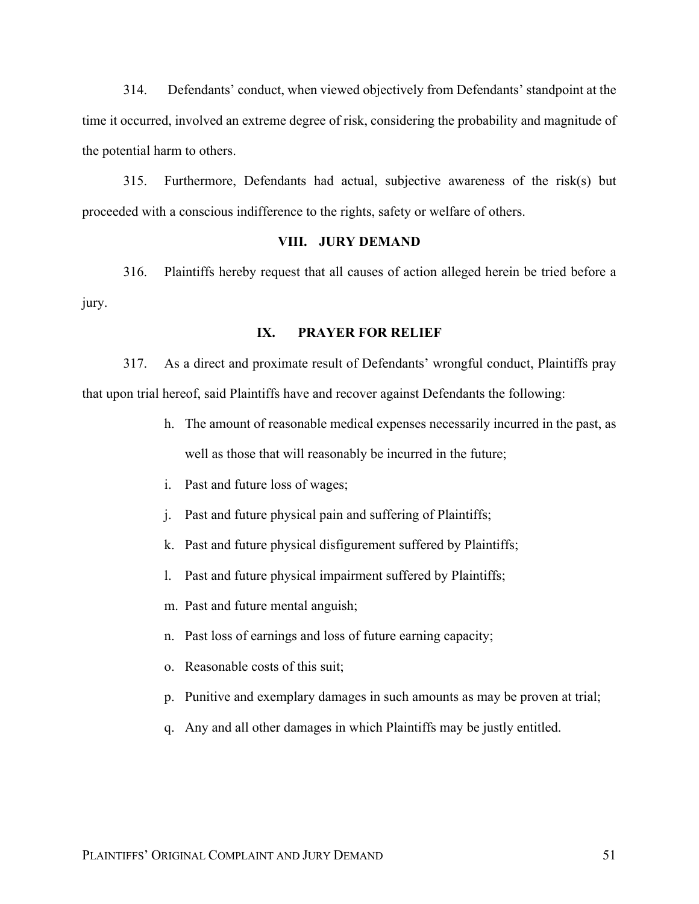314. Defendants' conduct, when viewed objectively from Defendants' standpoint at the time it occurred, involved an extreme degree of risk, considering the probability and magnitude of the potential harm to others.

315. Furthermore, Defendants had actual, subjective awareness of the risk(s) but proceeded with a conscious indifference to the rights, safety or welfare of others.

### **VIII. JURY DEMAND**

316. Plaintiffs hereby request that all causes of action alleged herein be tried before a jury.

# **IX. PRAYER FOR RELIEF**

317. As a direct and proximate result of Defendants' wrongful conduct, Plaintiffs pray that upon trial hereof, said Plaintiffs have and recover against Defendants the following:

- h. The amount of reasonable medical expenses necessarily incurred in the past, as well as those that will reasonably be incurred in the future;
- i. Past and future loss of wages;
- j. Past and future physical pain and suffering of Plaintiffs;
- k. Past and future physical disfigurement suffered by Plaintiffs;
- l. Past and future physical impairment suffered by Plaintiffs;
- m. Past and future mental anguish;
- n. Past loss of earnings and loss of future earning capacity;
- o. Reasonable costs of this suit;
- p. Punitive and exemplary damages in such amounts as may be proven at trial;
- q. Any and all other damages in which Plaintiffs may be justly entitled.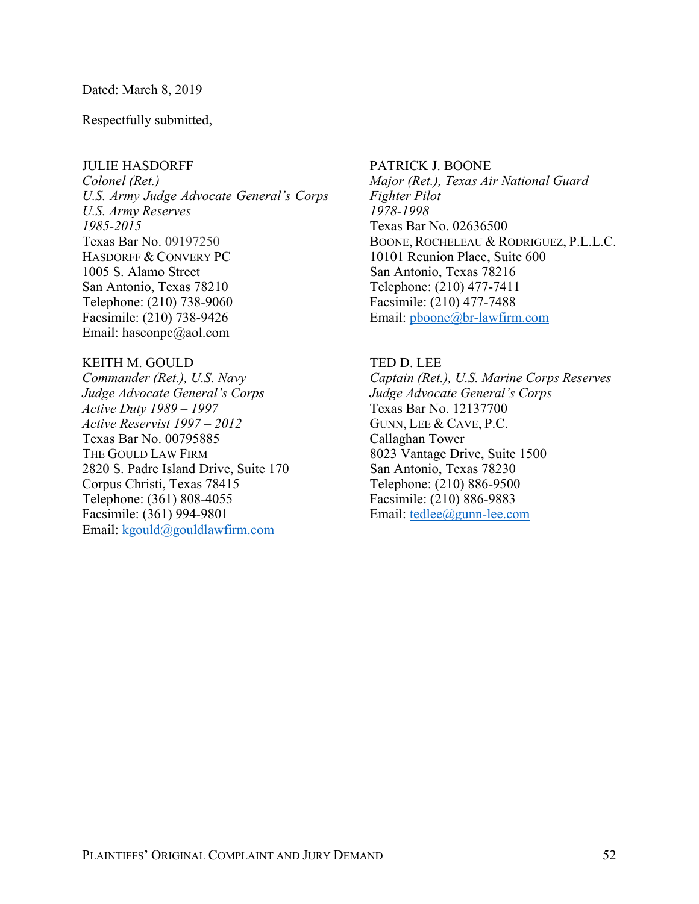## Dated: March 8, 2019

Respectfully submitted,

## JULIE HASDORFF

*Colonel (Ret.) U.S. Army Judge Advocate General's Corps U.S. Army Reserves 1985-2015* Texas Bar No. 09197250 HASDORFF & CONVERY PC 1005 S. Alamo Street San Antonio, Texas 78210 Telephone: (210) 738-9060 Facsimile: (210) 738-9426 Email: hasconpc@aol.com

## KEITH M. GOULD

*Commander (Ret.), U.S. Navy Judge Advocate General's Corps Active Duty 1989 – 1997 Active Reservist 1997 – 2012* Texas Bar No. 00795885 THE GOULD LAW FIRM 2820 S. Padre Island Drive, Suite 170 Corpus Christi, Texas 78415 Telephone: (361) 808-4055 Facsimile: (361) 994-9801 Email:  $kgoud@gouldlaw firm.com$ 

PATRICK J. BOONE *Major (Ret.), Texas Air National Guard Fighter Pilot 1978-1998* Texas Bar No. 02636500 BOONE, ROCHELEAU & RODRIGUEZ, P.L.L.C. 10101 Reunion Place, Suite 600 San Antonio, Texas 78216 Telephone: (210) 477-7411 Facsimile: (210) 477-7488 Email: pboone@br-lawfirm.com

## TED D. LEE

*Captain (Ret.), U.S. Marine Corps Reserves Judge Advocate General's Corps* Texas Bar No. 12137700 GUNN, LEE & CAVE, P.C. Callaghan Tower 8023 Vantage Drive, Suite 1500 San Antonio, Texas 78230 Telephone: (210) 886-9500 Facsimile: (210) 886-9883 Email: tedlee@gunn-lee.com